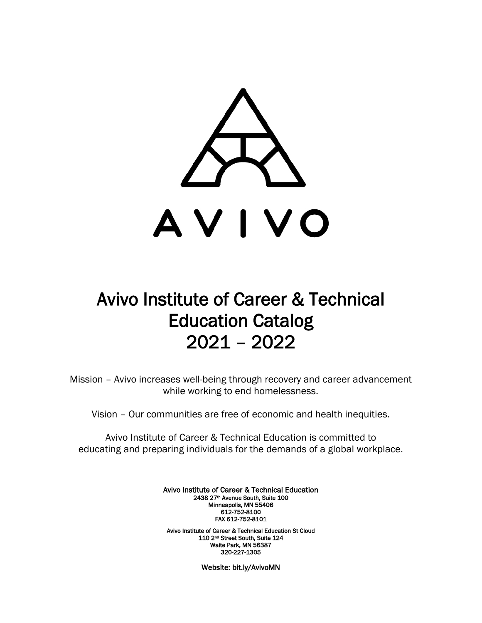

# Avivo Institute of Career & Technical Education Catalog 2021 – 2022

Mission – Avivo increases well-being through recovery and career advancement while working to end homelessness.

Vision – Our communities are free of economic and health inequities.

Avivo Institute of Career & Technical Education is committed to educating and preparing individuals for the demands of a global workplace.

> Avivo Institute of Career & Technical Education 2438 27th Avenue South, Suite 100 Minneapolis, MN 55406 612-752-8100 FAX 612-752-8101 Avivo Institute of Career & Technical Education St Cloud 110 2nd Street South, Suite 124 Waite Park, MN 56387 320-227-1305

> > Website: bit.ly/AvivoMN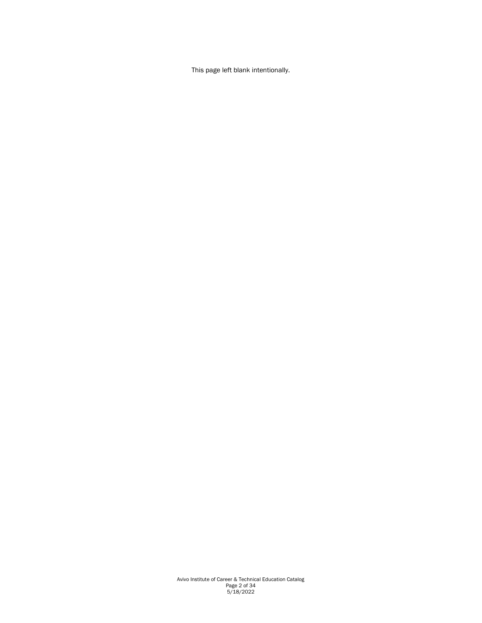This page left blank intentionally.

Avivo Institute of Career & Technical Education Catalog Page 2 of 34 5/18/2022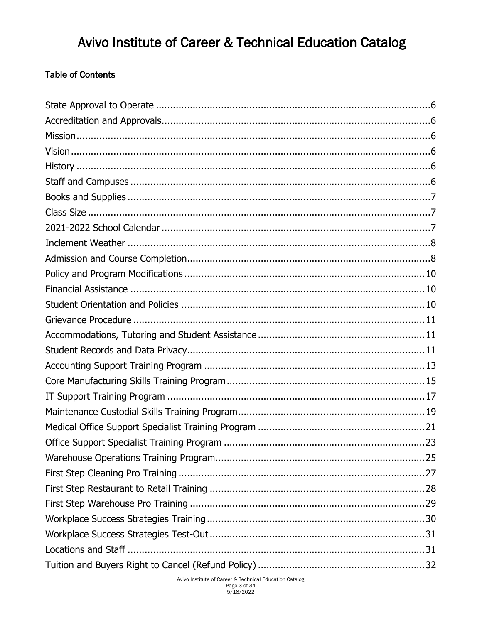## Avivo Institute of Career & Technical Education Catalog

### **Table of Contents**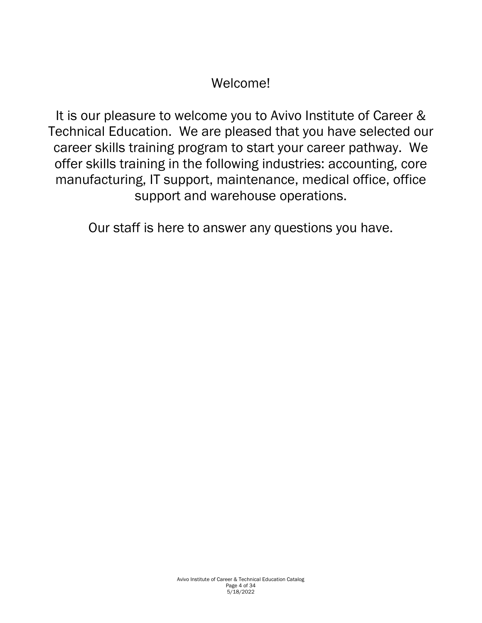## Welcome!

It is our pleasure to welcome you to Avivo Institute of Career & Technical Education. We are pleased that you have selected our career skills training program to start your career pathway. We offer skills training in the following industries: accounting, core manufacturing, IT support, maintenance, medical office, office support and warehouse operations.

Our staff is here to answer any questions you have.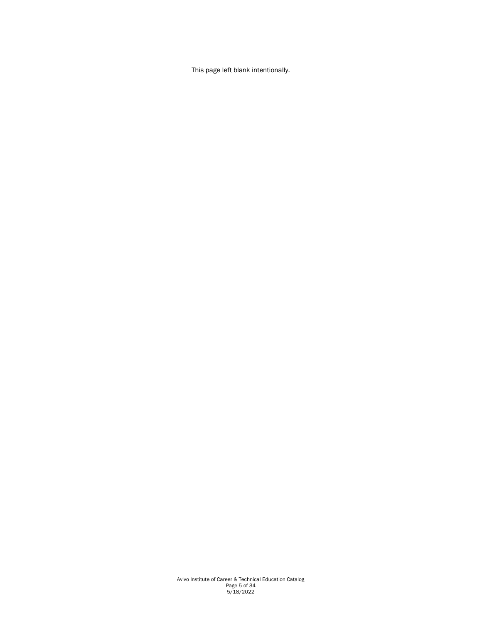This page left blank intentionally.

Avivo Institute of Career & Technical Education Catalog Page 5 of 34 5/18/2022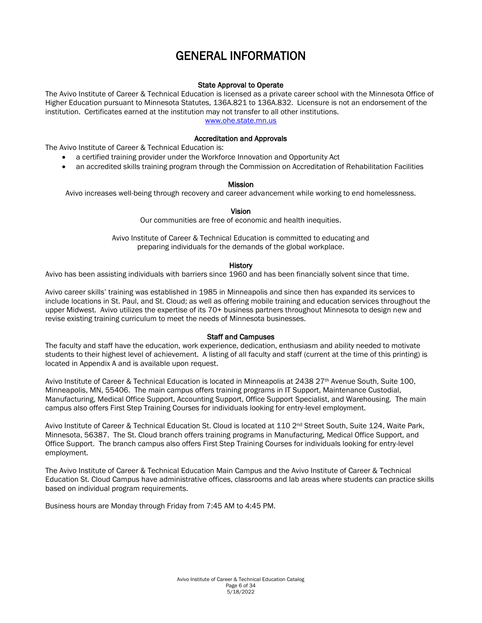### GENERAL INFORMATION

#### State Approval to Operate

<span id="page-5-0"></span>The Avivo Institute of Career & Technical Education is licensed as a private career school with the Minnesota Office of Higher Education pursuant to Minnesota Statutes, 136A.821 to 136A.832. Licensure is not an endorsement of the institution. Certificates earned at the institution may not transfer to all other institutions.

[www.ohe.state.mn.us](http://www.ohe.state.mn.us/)

#### Accreditation and Approvals

<span id="page-5-1"></span>The Avivo Institute of Career & Technical Education is:

- a certified training provider under the Workforce Innovation and Opportunity Act
- an accredited skills training program through the Commission on Accreditation of Rehabilitation Facilities

#### Mission

<span id="page-5-3"></span><span id="page-5-2"></span>Avivo increases well-being through recovery and career advancement while working to end homelessness*.*

#### Vision

Our communities are free of economic and health inequities.

Avivo Institute of Career & Technical Education is committed to educating and preparing individuals for the demands of the global workplace.

#### History

<span id="page-5-4"></span>Avivo has been assisting individuals with barriers since 1960 and has been financially solvent since that time.

Avivo career skills' training was established in 1985 in Minneapolis and since then has expanded its services to include locations in St. Paul, and St. Cloud; as well as offering mobile training and education services throughout the upper Midwest. Avivo utilizes the expertise of its 70+ business partners throughout Minnesota to design new and revise existing training curriculum to meet the needs of Minnesota businesses.

#### Staff and Campuses

<span id="page-5-5"></span>The faculty and staff have the education, work experience, dedication, enthusiasm and ability needed to motivate students to their highest level of achievement. A listing of all faculty and staff (current at the time of this printing) is located in Appendix A and is available upon request.

Avivo Institute of Career & Technical Education is located in Minneapolis at 2438 27th Avenue South, Suite 100, Minneapolis, MN, 55406. The main campus offers training programs in IT Support, Maintenance Custodial, Manufacturing, Medical Office Support, Accounting Support, Office Support Specialist, and Warehousing. The main campus also offers First Step Training Courses for individuals looking for entry-level employment.

Avivo Institute of Career & Technical Education St. Cloud is located at 110 2nd Street South, Suite 124, Waite Park, Minnesota, 56387. The St. Cloud branch offers training programs in Manufacturing, Medical Office Support, and Office Support. The branch campus also offers First Step Training Courses for individuals looking for entry-level employment.

The Avivo Institute of Career & Technical Education Main Campus and the Avivo Institute of Career & Technical Education St. Cloud Campus have administrative offices, classrooms and lab areas where students can practice skills based on individual program requirements.

Business hours are Monday through Friday from 7:45 AM to 4:45 PM.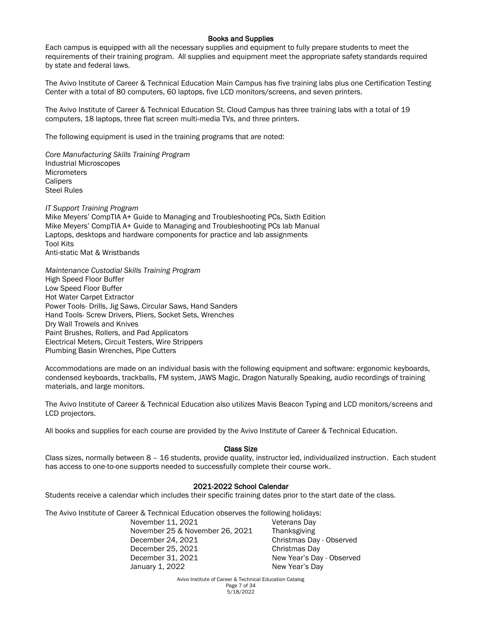#### Books and Supplies

<span id="page-6-0"></span>Each campus is equipped with all the necessary supplies and equipment to fully prepare students to meet the requirements of their training program. All supplies and equipment meet the appropriate safety standards required by state and federal laws.

The Avivo Institute of Career & Technical Education Main Campus has five training labs plus one Certification Testing Center with a total of 80 computers, 60 laptops, five LCD monitors/screens, and seven printers.

The Avivo Institute of Career & Technical Education St. Cloud Campus has three training labs with a total of 19 computers, 18 laptops, three flat screen multi-media TVs, and three printers.

The following equipment is used in the training programs that are noted:

*Core Manufacturing Skills Training Program* Industrial Microscopes **Micrometers** Calipers Steel Rules

*IT Support Training Program*

Mike Meyers' CompTIA A+ Guide to Managing and Troubleshooting PCs, Sixth Edition Mike Meyers' CompTIA A+ Guide to Managing and Troubleshooting PCs lab Manual Laptops, desktops and hardware components for practice and lab assignments Tool Kits

Anti-static Mat & Wristbands

*Maintenance Custodial Skills Training Program* High Speed Floor Buffer Low Speed Floor Buffer Hot Water Carpet Extractor Power Tools- Drills, Jig Saws, Circular Saws, Hand Sanders Hand Tools- Screw Drivers, Pliers, Socket Sets, Wrenches Dry Wall Trowels and Knives Paint Brushes, Rollers, and Pad Applicators Electrical Meters, Circuit Testers, Wire Strippers Plumbing Basin Wrenches, Pipe Cutters

Accommodations are made on an individual basis with the following equipment and software: ergonomic keyboards, condensed keyboards, trackballs, FM system, JAWS Magic, Dragon Naturally Speaking, audio recordings of training materials, and large monitors.

The Avivo Institute of Career & Technical Education also utilizes Mavis Beacon Typing and LCD monitors/screens and LCD projectors.

All books and supplies for each course are provided by the Avivo Institute of Career & Technical Education.

#### Class Size

<span id="page-6-1"></span>Class sizes, normally between 8 – 16 students, provide quality, instructor led, individualized instruction. Each student has access to one-to-one supports needed to successfully complete their course work.

#### 2021-2022 School Calendar

<span id="page-6-2"></span>Students receive a calendar which includes their specific training dates prior to the start date of the class.

The Avivo Institute of Career & Technical Education observes the following holidays:

November 11, 2021 Veterans Day November 25 & November 26, 2021 Thanksgiving December 24, 2021 Christmas Day - Observed December 25, 2021 Christmas Day December 31, 2021 New Year's Day - Observed January 1, 2022 Mew Year's Day

Avivo Institute of Career & Technical Education Catalog Page 7 of 34 5/18/2022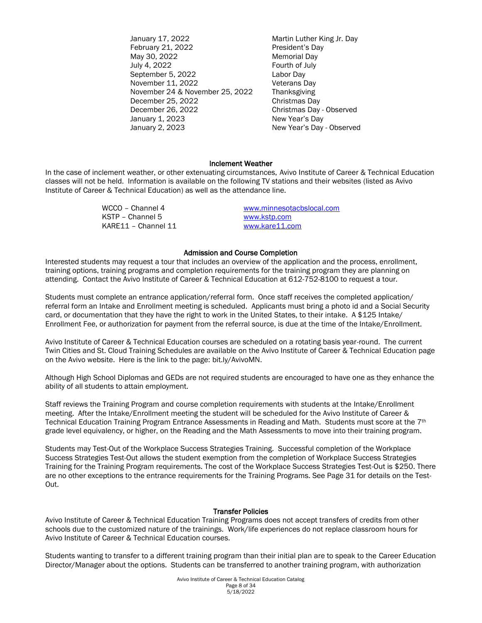January 17, 2022 **Martin Luther King Jr. Day** February 21, 2022 President's Day May 30, 2022 Memorial Day July 4, 2022 Fourth of July September 5, 2022 Labor Day November 11, 2022 Veterans Day November 24 & November 25, 2022 Thanksgiving December 25, 2022 Christmas Day December 26, 2022 Christmas Day - Observed January 1, 2023 New Year's Day January 2, 2023 Mew Year's Day - Observed

#### Inclement Weather

<span id="page-7-0"></span>In the case of inclement weather, or other extenuating circumstances, Avivo Institute of Career & Technical Education classes will not be held. Information is available on the following TV stations and their websites (listed as Avivo Institute of Career & Technical Education) as well as the attendance line.

| WCCO – Channel 4    | www.minnesotacbslocal.com |
|---------------------|---------------------------|
| KSTP – Channel 5    | www.kstp.com              |
| KARE11 – Channel 11 | www.kare11.com            |

#### Admission and Course Completion

<span id="page-7-1"></span>Interested students may request a tour that includes an overview of the application and the process, enrollment, training options, training programs and completion requirements for the training program they are planning on attending. Contact the Avivo Institute of Career & Technical Education at 612-752-8100 to request a tour.

Students must complete an entrance application/referral form. Once staff receives the completed application/ referral form an Intake and Enrollment meeting is scheduled. Applicants must bring a photo id and a Social Security card, or documentation that they have the right to work in the United States, to their intake. A \$125 Intake/ Enrollment Fee, or authorization for payment from the referral source, is due at the time of the Intake/Enrollment.

Avivo Institute of Career & Technical Education courses are scheduled on a rotating basis year-round. The current Twin Cities and St. Cloud Training Schedules are available on the Avivo Institute of Career & Technical Education page on the Avivo website. Here is the link to the page: bit.ly/AvivoMN.

Although High School Diplomas and GEDs are not required students are encouraged to have one as they enhance the ability of all students to attain employment.

Staff reviews the Training Program and course completion requirements with students at the Intake/Enrollment meeting. After the Intake/Enrollment meeting the student will be scheduled for the Avivo Institute of Career & Technical Education Training Program Entrance Assessments in Reading and Math. Students must score at the 7<sup>th</sup> grade level equivalency, or higher, on the Reading and the Math Assessments to move into their training program.

Students may Test-Out of the Workplace Success Strategies Training. Successful completion of the Workplace Success Strategies Test-Out allows the student exemption from the completion of Workplace Success Strategies Training for the Training Program requirements. The cost of the Workplace Success Strategies Test-Out is \$250. There are no other exceptions to the entrance requirements for the Training Programs. See Page 31 for details on the Test-Out.

#### Transfer Policies

Avivo Institute of Career & Technical Education Training Programs does not accept transfers of credits from other schools due to the customized nature of the trainings. Work/life experiences do not replace classroom hours for Avivo Institute of Career & Technical Education courses.

Students wanting to transfer to a different training program than their initial plan are to speak to the Career Education Director/Manager about the options. Students can be transferred to another training program, with authorization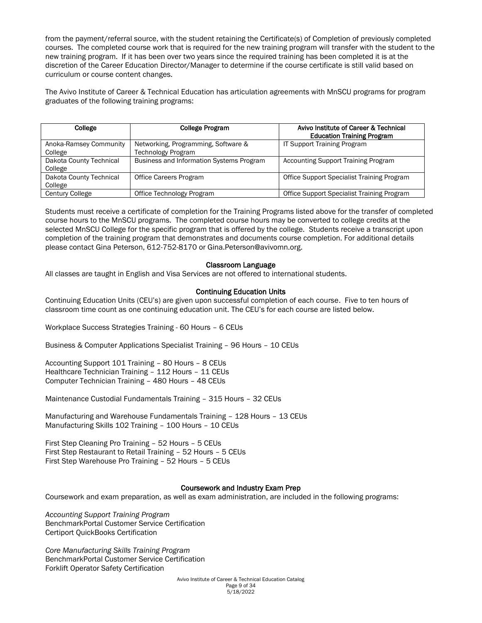from the payment/referral source, with the student retaining the Certificate(s) of Completion of previously completed courses. The completed course work that is required for the new training program will transfer with the student to the new training program. If it has been over two years since the required training has been completed it is at the discretion of the Career Education Director/Manager to determine if the course certificate is still valid based on curriculum or course content changes.

The Avivo Institute of Career & Technical Education has articulation agreements with MnSCU programs for program graduates of the following training programs:

| College                 | College Program                          | Avivo Institute of Career & Technical             |
|-------------------------|------------------------------------------|---------------------------------------------------|
|                         |                                          | <b>Education Training Program</b>                 |
| Anoka-Ramsey Community  | Networking, Programming, Software &      | IT Support Training Program                       |
| College                 | Technology Program                       |                                                   |
| Dakota County Technical | Business and Information Systems Program | <b>Accounting Support Training Program</b>        |
| College                 |                                          |                                                   |
| Dakota County Technical | Office Careers Program                   | Office Support Specialist Training Program        |
| College                 |                                          |                                                   |
| <b>Century College</b>  | Office Technology Program                | <b>Office Support Specialist Training Program</b> |

Students must receive a certificate of completion for the Training Programs listed above for the transfer of completed course hours to the MnSCU programs. The completed course hours may be converted to college credits at the selected MnSCU College for the specific program that is offered by the college. Students receive a transcript upon completion of the training program that demonstrates and documents course completion. For additional details please contact Gina Peterson, 612-752-8170 or Gina.Peterson@avivomn.org.

#### Classroom Language

All classes are taught in English and Visa Services are not offered to international students.

#### Continuing Education Units

Continuing Education Units (CEU's) are given upon successful completion of each course. Five to ten hours of classroom time count as one continuing education unit. The CEU's for each course are listed below.

Workplace Success Strategies Training - 60 Hours – 6 CEUs

Business & Computer Applications Specialist Training – 96 Hours – 10 CEUs

Accounting Support 101 Training – 80 Hours – 8 CEUs Healthcare Technician Training – 112 Hours – 11 CEUs Computer Technician Training – 480 Hours – 48 CEUs

Maintenance Custodial Fundamentals Training – 315 Hours – 32 CEUs

Manufacturing and Warehouse Fundamentals Training – 128 Hours – 13 CEUs Manufacturing Skills 102 Training – 100 Hours – 10 CEUs

First Step Cleaning Pro Training – 52 Hours – 5 CEUs First Step Restaurant to Retail Training – 52 Hours – 5 CEUs First Step Warehouse Pro Training – 52 Hours – 5 CEUs

#### Coursework and Industry Exam Prep

Coursework and exam preparation, as well as exam administration, are included in the following programs:

*Accounting Support Training Program*  BenchmarkPortal Customer Service Certification Certiport QuickBooks Certification

*Core Manufacturing Skills Training Program*  BenchmarkPortal Customer Service Certification Forklift Operator Safety Certification

> Avivo Institute of Career & Technical Education Catalog Page 9 of 34 5/18/2022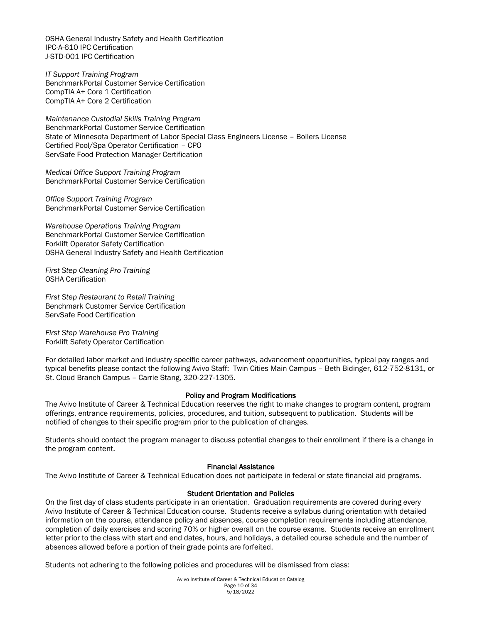OSHA General Industry Safety and Health Certification IPC-A-610 IPC Certification J-STD-001 IPC Certification

*IT Support Training Program* BenchmarkPortal Customer Service Certification CompTIA A+ Core 1 Certification CompTIA A+ Core 2 Certification

*Maintenance Custodial Skills Training Program* BenchmarkPortal Customer Service Certification State of Minnesota Department of Labor Special Class Engineers License – Boilers License Certified Pool/Spa Operator Certification – CPO ServSafe Food Protection Manager Certification

*Medical Office Support Training Program* BenchmarkPortal Customer Service Certification

*Office Support Training Program* BenchmarkPortal Customer Service Certification

*Warehouse Operations Training Program* BenchmarkPortal Customer Service Certification Forklift Operator Safety Certification OSHA General Industry Safety and Health Certification

*First Step Cleaning Pro Training* OSHA Certification

*First Step Restaurant to Retail Training* Benchmark Customer Service Certification ServSafe Food Certification

*First Step Warehouse Pro Training* Forklift Safety Operator Certification

For detailed labor market and industry specific career pathways, advancement opportunities, typical pay ranges and typical benefits please contact the following Avivo Staff: Twin Cities Main Campus – Beth Bidinger, 612-752-8131, or St. Cloud Branch Campus – Carrie Stang, 320-227-1305.

#### Policy and Program Modifications

<span id="page-9-0"></span>The Avivo Institute of Career & Technical Education reserves the right to make changes to program content, program offerings, entrance requirements, policies, procedures, and tuition, subsequent to publication. Students will be notified of changes to their specific program prior to the publication of changes.

Students should contact the program manager to discuss potential changes to their enrollment if there is a change in the program content.

#### Financial Assistance

<span id="page-9-1"></span>The Avivo Institute of Career & Technical Education does not participate in federal or state financial aid programs.

#### Student Orientation and Policies

<span id="page-9-2"></span>On the first day of class students participate in an orientation. Graduation requirements are covered during every Avivo Institute of Career & Technical Education course. Students receive a syllabus during orientation with detailed information on the course, attendance policy and absences, course completion requirements including attendance, completion of daily exercises and scoring 70% or higher overall on the course exams. Students receive an enrollment letter prior to the class with start and end dates, hours, and holidays, a detailed course schedule and the number of absences allowed before a portion of their grade points are forfeited.

Students not adhering to the following policies and procedures will be dismissed from class: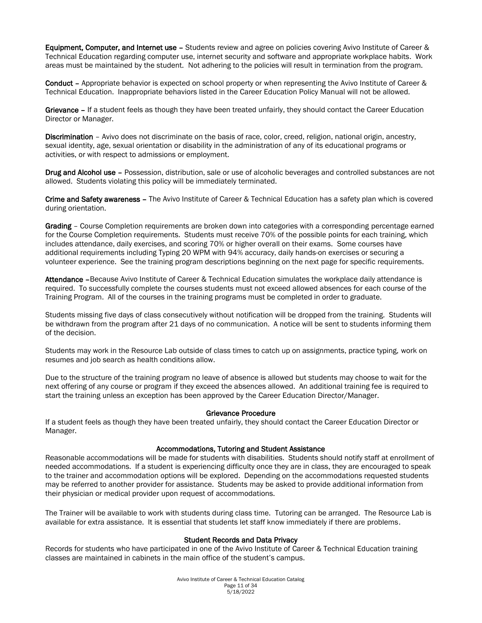Equipment, Computer, and Internet use - Students review and agree on policies covering Avivo Institute of Career & Technical Education regarding computer use, internet security and software and appropriate workplace habits. Work areas must be maintained by the student. Not adhering to the policies will result in termination from the program.

Conduct – Appropriate behavior is expected on school property or when representing the Avivo Institute of Career & Technical Education. Inappropriate behaviors listed in the Career Education Policy Manual will not be allowed.

Grievance – If a student feels as though they have been treated unfairly, they should contact the Career Education Director or Manager.

Discrimination – Avivo does not discriminate on the basis of race, color, creed, religion, national origin, ancestry, sexual identity, age, sexual orientation or disability in the administration of any of its educational programs or activities, or with respect to admissions or employment.

Drug and Alcohol use – Possession, distribution, sale or use of alcoholic beverages and controlled substances are not allowed. Students violating this policy will be immediately terminated.

Crime and Safety awareness – The Avivo Institute of Career & Technical Education has a safety plan which is covered during orientation.

Grading – Course Completion requirements are broken down into categories with a corresponding percentage earned for the Course Completion requirements. Students must receive 70% of the possible points for each training, which includes attendance, daily exercises, and scoring 70% or higher overall on their exams. Some courses have additional requirements including Typing 20 WPM with 94% accuracy, daily hands-on exercises or securing a volunteer experience. See the training program descriptions beginning on the next page for specific requirements.

Attendance -Because Avivo Institute of Career & Technical Education simulates the workplace daily attendance is required. To successfully complete the courses students must not exceed allowed absences for each course of the Training Program. All of the courses in the training programs must be completed in order to graduate.

Students missing five days of class consecutively without notification will be dropped from the training. Students will be withdrawn from the program after 21 days of no communication. A notice will be sent to students informing them of the decision.

Students may work in the Resource Lab outside of class times to catch up on assignments, practice typing, work on resumes and job search as health conditions allow.

Due to the structure of the training program no leave of absence is allowed but students may choose to wait for the next offering of any course or program if they exceed the absences allowed. An additional training fee is required to start the training unless an exception has been approved by the Career Education Director/Manager.

#### Grievance Procedure

<span id="page-10-0"></span>If a student feels as though they have been treated unfairly, they should contact the Career Education Director or Manager.

#### Accommodations, Tutoring and Student Assistance

<span id="page-10-1"></span>Reasonable accommodations will be made for students with disabilities. Students should notify staff at enrollment of needed accommodations. If a student is experiencing difficulty once they are in class, they are encouraged to speak to the trainer and accommodation options will be explored. Depending on the accommodations requested students may be referred to another provider for assistance. Students may be asked to provide additional information from their physician or medical provider upon request of accommodations.

The Trainer will be available to work with students during class time. Tutoring can be arranged. The Resource Lab is available for extra assistance. It is essential that students let staff know immediately if there are problems.

#### Student Records and Data Privacy

<span id="page-10-2"></span>Records for students who have participated in one of the Avivo Institute of Career & Technical Education training classes are maintained in cabinets in the main office of the student's campus.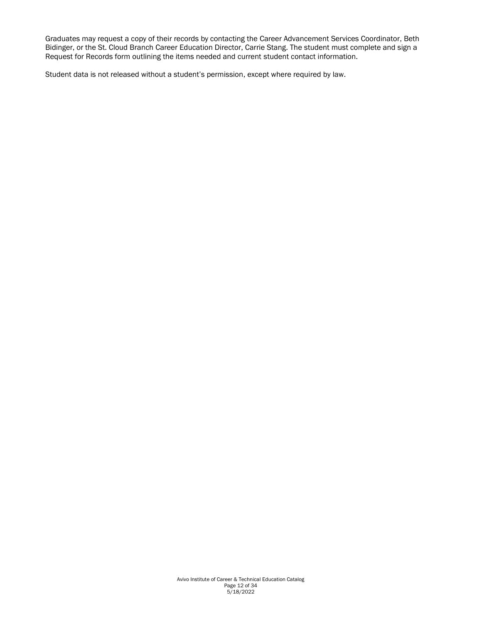Graduates may request a copy of their records by contacting the Career Advancement Services Coordinator, Beth Bidinger, or the St. Cloud Branch Career Education Director, Carrie Stang. The student must complete and sign a Request for Records form outlining the items needed and current student contact information.

Student data is not released without a student's permission, except where required by law.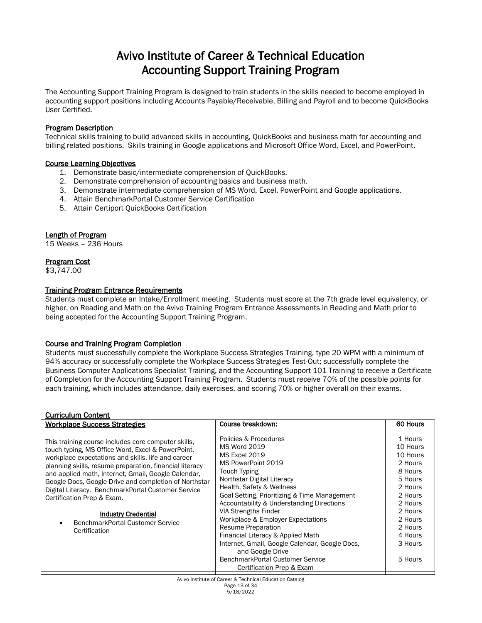### Avivo Institute of Career & Technical Education Accounting Support Training Program

<span id="page-12-0"></span>The Accounting Support Training Program is designed to train students in the skills needed to become employed in accounting support positions including Accounts Payable/Receivable, Billing and Payroll and to become QuickBooks User Certified.

#### Program Description

Technical skills training to build advanced skills in accounting, QuickBooks and business math for accounting and billing related positions. Skills training in Google applications and Microsoft Office Word, Excel, and PowerPoint.

#### Course Learning Objectives

- 1. Demonstrate basic/intermediate comprehension of QuickBooks.
- 2. Demonstrate comprehension of accounting basics and business math.
- 3. Demonstrate intermediate comprehension of MS Word, Excel, PowerPoint and Google applications.
- 4. Attain BenchmarkPortal Customer Service Certification
- 5. Attain Certiport QuickBooks Certification

#### Length of Program

15 Weeks – 236 Hours

#### Program Cost

\$3,747.00

#### Training Program Entrance Requirements

Students must complete an Intake/Enrollment meeting. Students must score at the 7th grade level equivalency, or higher, on Reading and Math on the Avivo Training Program Entrance Assessments in Reading and Math prior to being accepted for the Accounting Support Training Program.

#### Course and Training Program Completion

Students must successfully complete the Workplace Success Strategies Training, type 20 WPM with a minimum of 94% accuracy or successfully complete the Workplace Success Strategies Test-Out; successfully complete the Business Computer Applications Specialist Training, and the Accounting Support 101 Training to receive a Certificate of Completion for the Accounting Support Training Program. Students must receive 70% of the possible points for each training, which includes attendance, daily exercises, and scoring 70% or higher overall on their exams.

#### Curriculum Content Workplace Success Strategies This training course includes core computer skills, touch typing, MS Office Word, Excel & PowerPoint, workplace expectations and skills, life and career planning skills, resume preparation, financial literacy and applied math, Internet, Gmail, Google Calendar, Google Docs, Google Drive and completion of Northstar Digital Literacy. BenchmarkPortal Customer Service Certification Prep & Exam. Industry Credential • BenchmarkPortal Customer Service **Certification** Course breakdown: Policies & Procedures MS Word 2019 MS Excel 2019 MS PowerPoint 2019 Touch Typing Northstar Digital Literacy Health, Safety & Wellness Goal Setting, Prioritizing & Time Management Accountability & Understanding Directions VIA Strengths Finder Workplace & Employer Expectations Resume Preparation Financial Literacy & Applied Math Internet, Gmail, Google Calendar, Google Docs, and Google Drive BenchmarkPortal Customer Service Certification Prep & Exam 60 Hours 1 Hours 10 Hours 10 Hours 2 Hours 8 Hours 5 Hours 2 Hours 2 Hours 2 Hours 2 Hours 2 Hours 2 Hours 4 Hours 3 Hours 5 Hours

Avivo Institute of Career & Technical Education Catalog Page 13 of 34

5/18/2022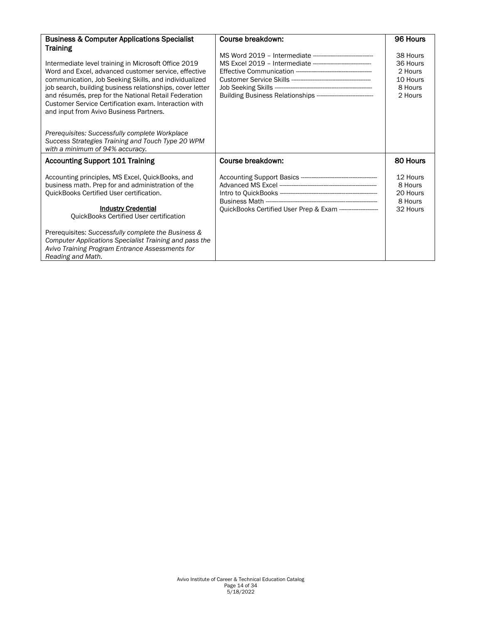| <b>Business &amp; Computer Applications Specialist</b>                                                                                                                                                                                                                                                                                                                                                            | Course breakdown:                                               | 96 Hours                                                          |
|-------------------------------------------------------------------------------------------------------------------------------------------------------------------------------------------------------------------------------------------------------------------------------------------------------------------------------------------------------------------------------------------------------------------|-----------------------------------------------------------------|-------------------------------------------------------------------|
| <b>Training</b><br>Intermediate level training in Microsoft Office 2019<br>Word and Excel, advanced customer service, effective<br>communication, Job Seeking Skills, and individualized<br>job search, building business relationships, cover letter<br>and résumés, prep for the National Retail Federation<br>Customer Service Certification exam. Interaction with<br>and input from Avivo Business Partners. | Building Business Relationships ------------------------------- | 38 Hours<br>36 Hours<br>2 Hours<br>10 Hours<br>8 Hours<br>2 Hours |
| Prerequisites: Successfully complete Workplace<br>Success Strategies Training and Touch Type 20 WPM<br>with a minimum of 94% accuracy.                                                                                                                                                                                                                                                                            |                                                                 |                                                                   |
| <b>Accounting Support 101 Training</b>                                                                                                                                                                                                                                                                                                                                                                            | Course breakdown:                                               | 80 Hours                                                          |
| Accounting principles, MS Excel, QuickBooks, and<br>business math. Prep for and administration of the<br>QuickBooks Certified User certification.<br><b>Industry Credential</b><br><b>QuickBooks Certified User certification</b>                                                                                                                                                                                 | QuickBooks Certified User Prep & Exam ---------------------     | 12 Hours<br>8 Hours<br>20 Hours<br>8 Hours<br>32 Hours            |
| Prerequisites: Successfully complete the Business &<br>Computer Applications Specialist Training and pass the<br>Avivo Training Program Entrance Assessments for<br>Reading and Math.                                                                                                                                                                                                                             |                                                                 |                                                                   |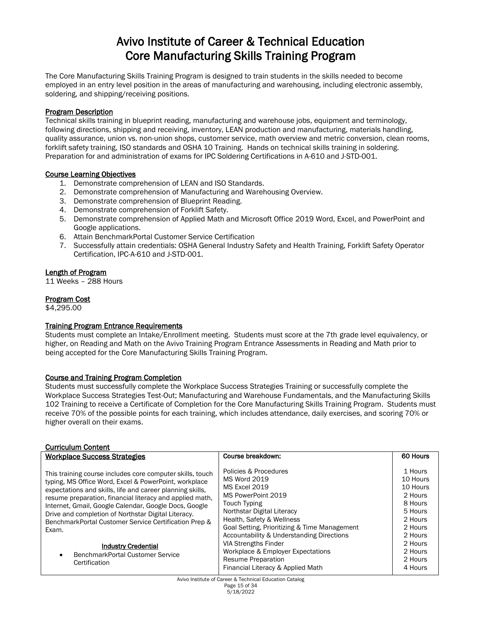### Avivo Institute of Career & Technical Education Core Manufacturing Skills Training Program

<span id="page-14-0"></span>The Core Manufacturing Skills Training Program is designed to train students in the skills needed to become employed in an entry level position in the areas of manufacturing and warehousing, including electronic assembly, soldering, and shipping/receiving positions.

#### Program Description

Technical skills training in blueprint reading, manufacturing and warehouse jobs, equipment and terminology, following directions, shipping and receiving, inventory, LEAN production and manufacturing, materials handling, quality assurance, union vs. non-union shops, customer service, math overview and metric conversion, clean rooms, forklift safety training, ISO standards and OSHA 10 Training. Hands on technical skills training in soldering. Preparation for and administration of exams for IPC Soldering Certifications in A-610 and J-STD-001.

#### Course Learning Objectives

- 1. Demonstrate comprehension of LEAN and ISO Standards.
- 2. Demonstrate comprehension of Manufacturing and Warehousing Overview.
- 3. Demonstrate comprehension of Blueprint Reading.
- 4. Demonstrate comprehension of Forklift Safety.
- 5. Demonstrate comprehension of Applied Math and Microsoft Office 2019 Word, Excel, and PowerPoint and Google applications.
- 6. Attain BenchmarkPortal Customer Service Certification
- 7. Successfully attain credentials: OSHA General Industry Safety and Health Training, Forklift Safety Operator Certification, IPC-A-610 and J-STD-001.

#### Length of Program

11 Weeks – 288 Hours

#### Program Cost

\$4,295.00

#### Training Program Entrance Requirements

Students must complete an Intake/Enrollment meeting. Students must score at the 7th grade level equivalency, or higher, on Reading and Math on the Avivo Training Program Entrance Assessments in Reading and Math prior to being accepted for the Core Manufacturing Skills Training Program.

#### Course and Training Program Completion

Students must successfully complete the Workplace Success Strategies Training or successfully complete the Workplace Success Strategies Test-Out; Manufacturing and Warehouse Fundamentals, and the Manufacturing Skills 102 Training to receive a Certificate of Completion for the Core Manufacturing Skills Training Program. Students must receive 70% of the possible points for each training, which includes attendance, daily exercises, and scoring 70% or higher overall on their exams.

#### Curriculum Content

| <b>Workplace Success Strategies</b>                                                                                                                                                                                                                                                                                                                                                                                           | Course breakdown:                                                                                                                                                                                                                                                  | 60 Hours                                                                                          |
|-------------------------------------------------------------------------------------------------------------------------------------------------------------------------------------------------------------------------------------------------------------------------------------------------------------------------------------------------------------------------------------------------------------------------------|--------------------------------------------------------------------------------------------------------------------------------------------------------------------------------------------------------------------------------------------------------------------|---------------------------------------------------------------------------------------------------|
| This training course includes core computer skills, touch<br>typing, MS Office Word, Excel & PowerPoint, workplace<br>expectations and skills, life and career planning skills,<br>resume preparation, financial literacy and applied math.<br>Internet, Gmail, Google Calendar, Google Docs, Google<br>Drive and completion of Northstar Digital Literacy.<br>BenchmarkPortal Customer Service Certification Prep &<br>Exam. | Policies & Procedures<br><b>MS Word 2019</b><br><b>MS Excel 2019</b><br>MS PowerPoint 2019<br>Touch Typing<br>Northstar Digital Literacy<br>Health, Safety & Wellness<br>Goal Setting, Prioritizing & Time Management<br>Accountability & Understanding Directions | 1 Hours<br>10 Hours<br>10 Hours<br>2 Hours<br>8 Hours<br>5 Hours<br>2 Hours<br>2 Hours<br>2 Hours |
| <b>Industry Credential</b><br>BenchmarkPortal Customer Service<br>Certification                                                                                                                                                                                                                                                                                                                                               | <b>VIA Strengths Finder</b><br>Workplace & Employer Expectations<br>Resume Preparation<br>Financial Literacy & Applied Math                                                                                                                                        | 2 Hours<br>2 Hours<br>2 Hours<br>4 Hours                                                          |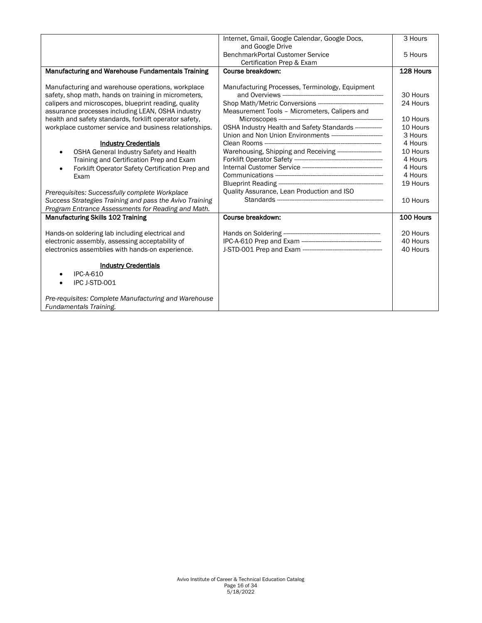|                                                                                                     | Internet, Gmail, Google Calendar, Google Docs,               | 3 Hours              |
|-----------------------------------------------------------------------------------------------------|--------------------------------------------------------------|----------------------|
|                                                                                                     | and Google Drive<br><b>BenchmarkPortal Customer Service</b>  | 5 Hours              |
|                                                                                                     | Certification Prep & Exam                                    |                      |
| Manufacturing and Warehouse Fundamentals Training                                                   | Course breakdown:                                            | 128 Hours            |
|                                                                                                     |                                                              |                      |
| Manufacturing and warehouse operations, workplace                                                   | Manufacturing Processes, Terminology, Equipment              |                      |
| safety, shop math, hands on training in micrometers,                                                |                                                              | 30 Hours             |
| calipers and microscopes, blueprint reading, quality                                                |                                                              | 24 Hours             |
| assurance processes including LEAN, OSHA industry                                                   | Measurement Tools - Micrometers, Calipers and                |                      |
| health and safety standards, forklift operator safety,                                              |                                                              | 10 Hours             |
| workplace customer service and business relationships.                                              | OSHA Industry Health and Safety Standards --------------     | 10 Hours             |
|                                                                                                     |                                                              | 3 Hours<br>4 Hours   |
| <b>Industry Credentials</b>                                                                         | Warehousing, Shipping and Receiving ------------------------ | 10 Hours             |
| OSHA General Industry Safety and Health<br>$\bullet$<br>Training and Certification Prep and Exam    |                                                              | 4 Hours              |
| Forklift Operator Safety Certification Prep and                                                     |                                                              | 4 Hours              |
| Exam                                                                                                |                                                              | 4 Hours              |
|                                                                                                     |                                                              | 19 Hours             |
| Prerequisites: Successfully complete Workplace                                                      | Quality Assurance, Lean Production and ISO                   |                      |
| Success Strategies Training and pass the Avivo Training                                             |                                                              | 10 Hours             |
| Program Entrance Assessments for Reading and Math.                                                  |                                                              |                      |
| <b>Manufacturing Skills 102 Training</b>                                                            | Course breakdown:                                            | 100 Hours            |
|                                                                                                     |                                                              |                      |
| Hands-on soldering lab including electrical and                                                     |                                                              | 20 Hours<br>40 Hours |
| electronic assembly, assessing acceptability of<br>electronics assemblies with hands-on experience. |                                                              | 40 Hours             |
|                                                                                                     |                                                              |                      |
| <b>Industry Credentials</b>                                                                         |                                                              |                      |
| <b>IPC-A-610</b>                                                                                    |                                                              |                      |
| IPC J-STD-001                                                                                       |                                                              |                      |
| Pre-requisites: Complete Manufacturing and Warehouse<br>Fundamentals Training.                      |                                                              |                      |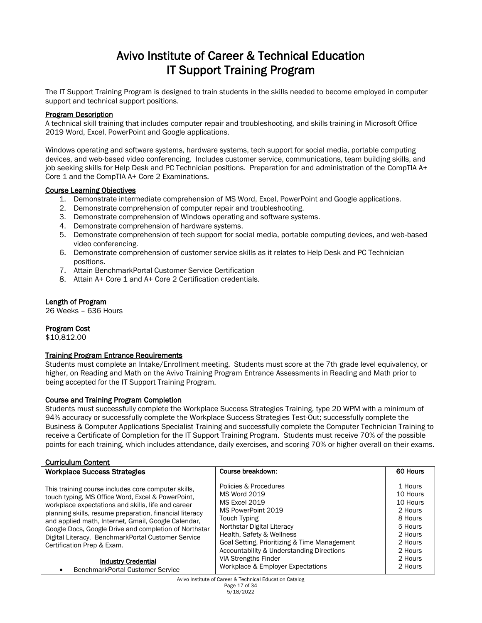### Avivo Institute of Career & Technical Education IT Support Training Program

<span id="page-16-0"></span>The IT Support Training Program is designed to train students in the skills needed to become employed in computer support and technical support positions.

#### Program Description

A technical skill training that includes computer repair and troubleshooting, and skills training in Microsoft Office 2019 Word, Excel, PowerPoint and Google applications.

Windows operating and software systems, hardware systems, tech support for social media, portable computing devices, and web-based video conferencing. Includes customer service, communications, team building skills, and job seeking skills for Help Desk and PC Technician positions. Preparation for and administration of the CompTIA A+ Core 1 and the CompTIA A+ Core 2 Examinations.

#### Course Learning Objectives

- 1. Demonstrate intermediate comprehension of MS Word, Excel, PowerPoint and Google applications.
- 2. Demonstrate comprehension of computer repair and troubleshooting.
- 3. Demonstrate comprehension of Windows operating and software systems.
- 4. Demonstrate comprehension of hardware systems.
- 5. Demonstrate comprehension of tech support for social media, portable computing devices, and web-based video conferencing.
- 6. Demonstrate comprehension of customer service skills as it relates to Help Desk and PC Technician positions.
- 7. Attain BenchmarkPortal Customer Service Certification
- 8. Attain A+ Core 1 and A+ Core 2 Certification credentials.

#### Length of Program

26 Weeks – 636 Hours

#### Program Cost

\$10,812.00

#### Training Program Entrance Requirements

Students must complete an Intake/Enrollment meeting. Students must score at the 7th grade level equivalency, or higher, on Reading and Math on the Avivo Training Program Entrance Assessments in Reading and Math prior to being accepted for the IT Support Training Program.

#### Course and Training Program Completion

Students must successfully complete the Workplace Success Strategies Training, type 20 WPM with a minimum of 94% accuracy or successfully complete the Workplace Success Strategies Test-Out; successfully complete the Business & Computer Applications Specialist Training and successfully complete the Computer Technician Training to receive a Certificate of Completion for the IT Support Training Program. Students must receive 70% of the possible points for each training, which includes attendance, daily exercises, and scoring 70% or higher overall on their exams.

| <b>Curriculum Content</b>                                                                                                                                                                                                                                                                                                                                                                                                     |                                                                                                                                                                                                                                                                    |                                                                                                              |
|-------------------------------------------------------------------------------------------------------------------------------------------------------------------------------------------------------------------------------------------------------------------------------------------------------------------------------------------------------------------------------------------------------------------------------|--------------------------------------------------------------------------------------------------------------------------------------------------------------------------------------------------------------------------------------------------------------------|--------------------------------------------------------------------------------------------------------------|
| <b>Workplace Success Strategies</b>                                                                                                                                                                                                                                                                                                                                                                                           | Course breakdown:                                                                                                                                                                                                                                                  | 60 Hours                                                                                                     |
| This training course includes core computer skills,<br>touch typing, MS Office Word, Excel & PowerPoint,<br>workplace expectations and skills, life and career<br>planning skills, resume preparation, financial literacy<br>and applied math, Internet, Gmail, Google Calendar,<br>Google Docs, Google Drive and completion of Northstar<br>Digital Literacy. BenchmarkPortal Customer Service<br>Certification Prep & Exam. | Policies & Procedures<br><b>MS Word 2019</b><br><b>MS Excel 2019</b><br>MS PowerPoint 2019<br>Touch Typing<br>Northstar Digital Literacy<br>Health, Safety & Wellness<br>Goal Setting, Prioritizing & Time Management<br>Accountability & Understanding Directions | 1 Hours<br>10 Hours<br>10 Hours<br>2 Hours<br>8 Hours<br>5 Hours<br>2 Hours<br>2 Hours<br>2 Hours<br>2 Hours |
| <b>Industry Credential</b><br><b>BenchmarkPortal Customer Service</b>                                                                                                                                                                                                                                                                                                                                                         | <b>VIA Strengths Finder</b><br>Workplace & Employer Expectations                                                                                                                                                                                                   | 2 Hours                                                                                                      |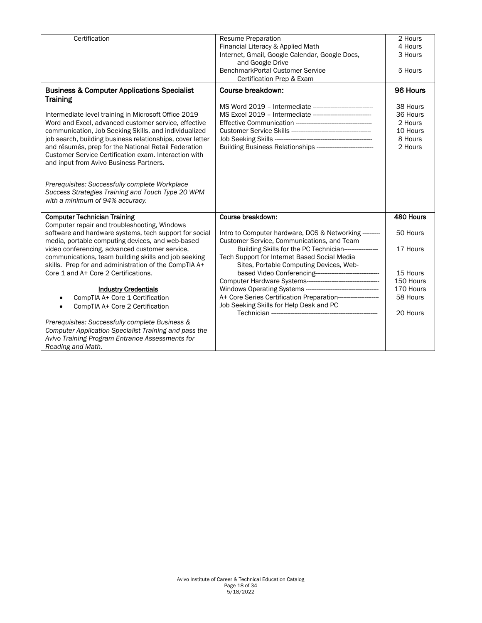| Certification                                                             | <b>Resume Preparation</b>                                       | 2 Hours   |
|---------------------------------------------------------------------------|-----------------------------------------------------------------|-----------|
|                                                                           | Financial Literacy & Applied Math                               | 4 Hours   |
|                                                                           | Internet, Gmail, Google Calendar, Google Docs,                  | 3 Hours   |
|                                                                           | and Google Drive                                                |           |
|                                                                           | BenchmarkPortal Customer Service                                | 5 Hours   |
|                                                                           | Certification Prep & Exam                                       |           |
| <b>Business &amp; Computer Applications Specialist</b><br><b>Training</b> | Course breakdown:                                               | 96 Hours  |
|                                                                           |                                                                 | 38 Hours  |
| Intermediate level training in Microsoft Office 2019                      |                                                                 | 36 Hours  |
| Word and Excel, advanced customer service, effective                      |                                                                 | 2 Hours   |
| communication, Job Seeking Skills, and individualized                     |                                                                 | 10 Hours  |
| job search, building business relationships, cover letter                 |                                                                 | 8 Hours   |
| and résumés, prep for the National Retail Federation                      | Building Business Relationships ------------------------------- | 2 Hours   |
| Customer Service Certification exam. Interaction with                     |                                                                 |           |
| and input from Avivo Business Partners.                                   |                                                                 |           |
|                                                                           |                                                                 |           |
| Prerequisites: Successfully complete Workplace                            |                                                                 |           |
| Success Strategies Training and Touch Type 20 WPM                         |                                                                 |           |
| with a minimum of 94% accuracy.                                           |                                                                 |           |
|                                                                           |                                                                 |           |
| <b>Computer Technician Training</b>                                       | Course breakdown:                                               | 480 Hours |
| Computer repair and troubleshooting, Windows                              |                                                                 |           |
| software and hardware systems, tech support for social                    | Intro to Computer hardware, DOS & Networking ---------          | 50 Hours  |
| media, portable computing devices, and web-based                          | Customer Service, Communications, and Team                      |           |
| video conferencing, advanced customer service,                            | Building Skills for the PC Technician-------------------        | 17 Hours  |
| communications, team building skills and job seeking                      | Tech Support for Internet Based Social Media                    |           |
| skills. Prep for and administration of the CompTIA A+                     | Sites, Portable Computing Devices, Web-                         |           |
| Core 1 and A+ Core 2 Certifications.                                      |                                                                 | 15 Hours  |
|                                                                           |                                                                 | 150 Hours |
| <b>Industry Credentials</b>                                               |                                                                 | 170 Hours |
| CompTIA A+ Core 1 Certification<br>$\bullet$                              | A+ Core Series Certification Preparation----------------------  | 58 Hours  |
| CompTIA A+ Core 2 Certification<br>$\bullet$                              | Job Seeking Skills for Help Desk and PC                         |           |
|                                                                           |                                                                 | 20 Hours  |
| Prerequisites: Successfully complete Business &                           |                                                                 |           |
| Computer Application Specialist Training and pass the                     |                                                                 |           |
| Avivo Training Program Entrance Assessments for                           |                                                                 |           |
| Reading and Math.                                                         |                                                                 |           |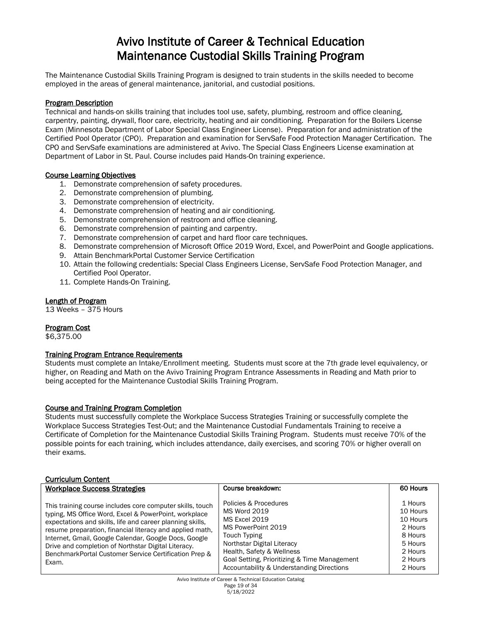### Avivo Institute of Career & Technical Education Maintenance Custodial Skills Training Program

<span id="page-18-0"></span>The Maintenance Custodial Skills Training Program is designed to train students in the skills needed to become employed in the areas of general maintenance, janitorial, and custodial positions.

#### Program Description

Technical and hands-on skills training that includes tool use, safety, plumbing, restroom and office cleaning, carpentry, painting, drywall, floor care, electricity, heating and air conditioning. Preparation for the Boilers License Exam (Minnesota Department of Labor Special Class Engineer License). Preparation for and administration of the Certified Pool Operator (CPO). Preparation and examination for ServSafe Food Protection Manager Certification. The CPO and ServSafe examinations are administered at Avivo. The Special Class Engineers License examination at Department of Labor in St. Paul. Course includes paid Hands-On training experience.

#### Course Learning Objectives

- 1. Demonstrate comprehension of safety procedures.
- 2. Demonstrate comprehension of plumbing.
- 3. Demonstrate comprehension of electricity.
- 4. Demonstrate comprehension of heating and air conditioning.
- 5. Demonstrate comprehension of restroom and office cleaning.
- 6. Demonstrate comprehension of painting and carpentry.
- 7. Demonstrate comprehension of carpet and hard floor care techniques.
- 8. Demonstrate comprehension of Microsoft Office 2019 Word, Excel, and PowerPoint and Google applications.
- 9. Attain BenchmarkPortal Customer Service Certification
- 10. Attain the following credentials: Special Class Engineers License, ServSafe Food Protection Manager, and Certified Pool Operator.
- 11. Complete Hands-On Training.

#### Length of Program

13 Weeks – 375 Hours

#### Program Cost

\$6,375.00

#### Training Program Entrance Requirements

Students must complete an Intake/Enrollment meeting. Students must score at the 7th grade level equivalency, or higher, on Reading and Math on the Avivo Training Program Entrance Assessments in Reading and Math prior to being accepted for the Maintenance Custodial Skills Training Program.

#### Course and Training Program Completion

Students must successfully complete the Workplace Success Strategies Training or successfully complete the Workplace Success Strategies Test-Out; and the Maintenance Custodial Fundamentals Training to receive a Certificate of Completion for the Maintenance Custodial Skills Training Program. Students must receive 70% of the possible points for each training, which includes attendance, daily exercises, and scoring 70% or higher overall on their exams.

| <b>Curriculum Content</b>                                                                                                                                                                                                                                                                                                                                                                                                     |                                                                                                                                                                                                                                                      |                                                                                                   |
|-------------------------------------------------------------------------------------------------------------------------------------------------------------------------------------------------------------------------------------------------------------------------------------------------------------------------------------------------------------------------------------------------------------------------------|------------------------------------------------------------------------------------------------------------------------------------------------------------------------------------------------------------------------------------------------------|---------------------------------------------------------------------------------------------------|
| <b>Workplace Success Strategies</b>                                                                                                                                                                                                                                                                                                                                                                                           | Course breakdown:                                                                                                                                                                                                                                    | 60 Hours                                                                                          |
| This training course includes core computer skills, touch<br>typing, MS Office Word, Excel & PowerPoint, workplace<br>expectations and skills, life and career planning skills,<br>resume preparation, financial literacy and applied math,<br>Internet, Gmail, Google Calendar, Google Docs, Google<br>Drive and completion of Northstar Digital Literacy.<br>BenchmarkPortal Customer Service Certification Prep &<br>Exam. | Policies & Procedures<br>MS Word 2019<br>MS Excel 2019<br>MS PowerPoint 2019<br>Touch Typing<br>Northstar Digital Literacy<br>Health, Safety & Wellness<br>Goal Setting, Prioritizing & Time Management<br>Accountability & Understanding Directions | 1 Hours<br>10 Hours<br>10 Hours<br>2 Hours<br>8 Hours<br>5 Hours<br>2 Hours<br>2 Hours<br>2 Hours |

Avivo Institute of Career & Technical Education Catalog Page 19 of 34 5/18/2022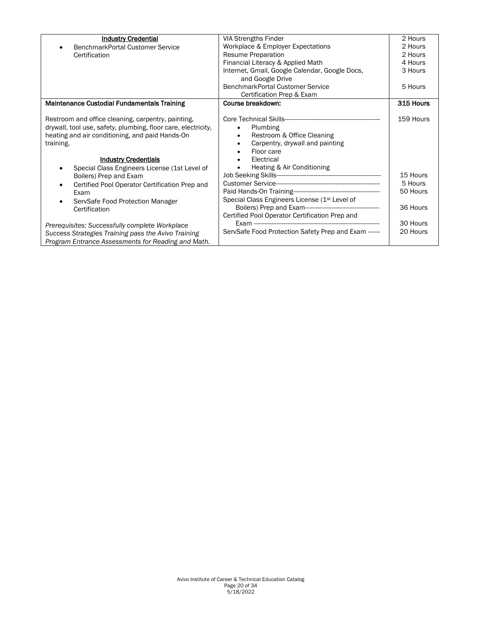| <b>Industry Credential</b>                                    | <b>VIA Strengths Finder</b>                          | 2 Hours   |
|---------------------------------------------------------------|------------------------------------------------------|-----------|
| BenchmarkPortal Customer Service                              | Workplace & Employer Expectations                    | 2 Hours   |
| Certification                                                 | Resume Preparation                                   | 2 Hours   |
|                                                               | Financial Literacy & Applied Math                    | 4 Hours   |
|                                                               | Internet, Gmail, Google Calendar, Google Docs,       | 3 Hours   |
|                                                               | and Google Drive                                     |           |
|                                                               | <b>BenchmarkPortal Customer Service</b>              | 5 Hours   |
|                                                               | Certification Prep & Exam                            |           |
| Maintenance Custodial Fundamentals Training                   | Course breakdown:                                    | 315 Hours |
|                                                               |                                                      |           |
| Restroom and office cleaning, carpentry, painting,            |                                                      | 159 Hours |
| drywall, tool use, safety, plumbing, floor care, electricity, | Plumbing<br>$\bullet$                                |           |
| heating and air conditioning, and paid Hands-On               | Restroom & Office Cleaning<br>$\bullet$              |           |
| training.                                                     | Carpentry, drywall and painting                      |           |
|                                                               | Floor care                                           |           |
| <b>Industry Credentials</b>                                   | Electrical                                           |           |
| Special Class Engineers License (1st Level of                 | Heating & Air Conditioning<br>$\bullet$              |           |
| Boilers) Prep and Exam                                        |                                                      | 15 Hours  |
| Certified Pool Operator Certification Prep and                |                                                      | 5 Hours   |
| Exam                                                          |                                                      | 50 Hours  |
| ServSafe Food Protection Manager                              | Special Class Engineers License (1st Level of        |           |
| Certification                                                 |                                                      | 36 Hours  |
|                                                               | Certified Pool Operator Certification Prep and       |           |
| Prerequisites: Successfully complete Workplace                |                                                      | 30 Hours  |
| Success Strategies Training pass the Avivo Training           | ServSafe Food Protection Safety Prep and Exam ------ | 20 Hours  |
| Program Entrance Assessments for Reading and Math.            |                                                      |           |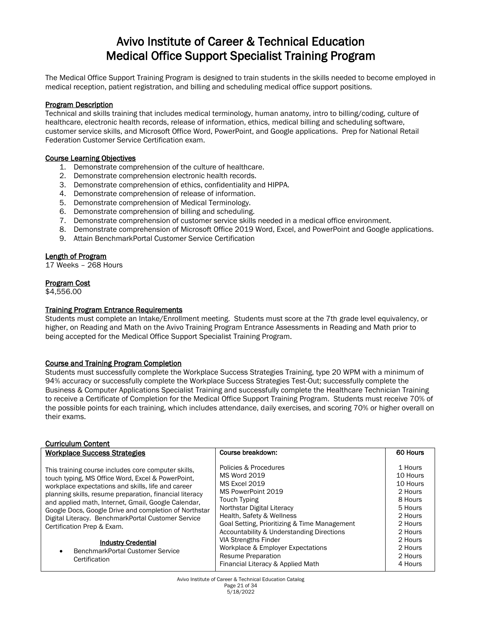### Avivo Institute of Career & Technical Education Medical Office Support Specialist Training Program

<span id="page-20-0"></span>The Medical Office Support Training Program is designed to train students in the skills needed to become employed in medical reception, patient registration, and billing and scheduling medical office support positions.

#### Program Description

Technical and skills training that includes medical terminology, human anatomy, intro to billing/coding, culture of healthcare, electronic health records, release of information, ethics, medical billing and scheduling software, customer service skills, and Microsoft Office Word, PowerPoint, and Google applications. Prep for National Retail Federation Customer Service Certification exam.

#### Course Learning Objectives

- 1. Demonstrate comprehension of the culture of healthcare.
- 2. Demonstrate comprehension electronic health records.
- 3. Demonstrate comprehension of ethics, confidentiality and HIPPA.
- 4. Demonstrate comprehension of release of information.
- 5. Demonstrate comprehension of Medical Terminology.
- 6. Demonstrate comprehension of billing and scheduling.
- 7. Demonstrate comprehension of customer service skills needed in a medical office environment.
- 8. Demonstrate comprehension of Microsoft Office 2019 Word, Excel, and PowerPoint and Google applications.
- 9. Attain BenchmarkPortal Customer Service Certification

#### Length of Program

17 Weeks – 268 Hours

#### Program Cost

\$4,556.00

#### Training Program Entrance Requirements

Students must complete an Intake/Enrollment meeting. Students must score at the 7th grade level equivalency, or higher, on Reading and Math on the Avivo Training Program Entrance Assessments in Reading and Math prior to being accepted for the Medical Office Support Specialist Training Program.

#### Course and Training Program Completion

Students must successfully complete the Workplace Success Strategies Training, type 20 WPM with a minimum of 94% accuracy or successfully complete the Workplace Success Strategies Test-Out; successfully complete the Business & Computer Applications Specialist Training and successfully complete the Healthcare Technician Training to receive a Certificate of Completion for the Medical Office Support Training Program. Students must receive 70% of the possible points for each training, which includes attendance, daily exercises, and scoring 70% or higher overall on their exams.

| <b>Curriculum Content</b>                                                                                                                                                                                                                                                                                                                                                                                                                                                                                                     |                                                                                                                                                                                                                                                                                                                                                                                                   |                                                                                                                                               |
|-------------------------------------------------------------------------------------------------------------------------------------------------------------------------------------------------------------------------------------------------------------------------------------------------------------------------------------------------------------------------------------------------------------------------------------------------------------------------------------------------------------------------------|---------------------------------------------------------------------------------------------------------------------------------------------------------------------------------------------------------------------------------------------------------------------------------------------------------------------------------------------------------------------------------------------------|-----------------------------------------------------------------------------------------------------------------------------------------------|
| <b>Workplace Success Strategies</b>                                                                                                                                                                                                                                                                                                                                                                                                                                                                                           | Course breakdown:                                                                                                                                                                                                                                                                                                                                                                                 | 60 Hours                                                                                                                                      |
| This training course includes core computer skills,<br>touch typing, MS Office Word, Excel & PowerPoint,<br>workplace expectations and skills, life and career<br>planning skills, resume preparation, financial literacy<br>and applied math, Internet, Gmail, Google Calendar,<br>Google Docs, Google Drive and completion of Northstar<br>Digital Literacy. BenchmarkPortal Customer Service<br>Certification Prep & Exam.<br><b>Industry Credential</b><br>BenchmarkPortal Customer Service<br>$\bullet$<br>Certification | Policies & Procedures<br><b>MS Word 2019</b><br><b>MS Excel 2019</b><br>MS PowerPoint 2019<br>Touch Typing<br>Northstar Digital Literacy<br>Health, Safety & Wellness<br>Goal Setting, Prioritizing & Time Management<br>Accountability & Understanding Directions<br>VIA Strengths Finder<br>Workplace & Employer Expectations<br><b>Resume Preparation</b><br>Financial Literacy & Applied Math | 1 Hours<br>10 Hours<br>10 Hours<br>2 Hours<br>8 Hours<br>5 Hours<br>2 Hours<br>2 Hours<br>2 Hours<br>2 Hours<br>2 Hours<br>2 Hours<br>4 Hours |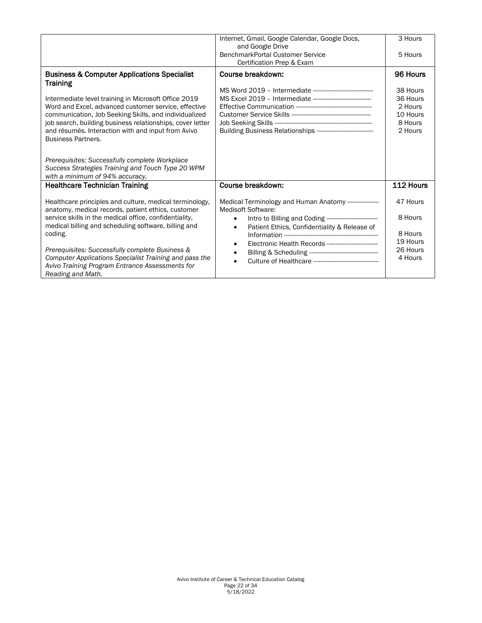|                                                                                                                                                                                                                                                                                                                                                                                                                                                      | Internet, Gmail, Google Calendar, Google Docs,<br>and Google Drive<br>BenchmarkPortal Customer Service                                                             | 3 Hours<br>5 Hours                                                            |
|------------------------------------------------------------------------------------------------------------------------------------------------------------------------------------------------------------------------------------------------------------------------------------------------------------------------------------------------------------------------------------------------------------------------------------------------------|--------------------------------------------------------------------------------------------------------------------------------------------------------------------|-------------------------------------------------------------------------------|
|                                                                                                                                                                                                                                                                                                                                                                                                                                                      | Certification Prep & Exam                                                                                                                                          |                                                                               |
| <b>Business &amp; Computer Applications Specialist</b><br><b>Training</b><br>Intermediate level training in Microsoft Office 2019<br>Word and Excel, advanced customer service, effective<br>communication, Job Seeking Skills, and individualized<br>job search, building business relationships, cover letter<br>and résumés. Interaction with and input from Avivo<br><b>Business Partners.</b><br>Prerequisites: Successfully complete Workplace | Course breakdown:<br>Building Business Relationships ---------------------------------                                                                             | 96 Hours<br>38 Hours<br>36 Hours<br>2 Hours<br>10 Hours<br>8 Hours<br>2 Hours |
| Success Strategies Training and Touch Type 20 WPM<br>with a minimum of 94% accuracy.                                                                                                                                                                                                                                                                                                                                                                 |                                                                                                                                                                    |                                                                               |
| <b>Healthcare Technician Training</b>                                                                                                                                                                                                                                                                                                                                                                                                                | Course breakdown:                                                                                                                                                  | 112 Hours                                                                     |
| Healthcare principles and culture, medical terminology,<br>anatomy, medical records, patient ethics, customer                                                                                                                                                                                                                                                                                                                                        | Medical Terminology and Human Anatomy ------------------<br>Medisoft Software:                                                                                     | 47 Hours                                                                      |
| service skills in the medical office, confidentiality,<br>medical billing and scheduling software, billing and<br>coding.<br>Prerequisites: Successfully complete Business &                                                                                                                                                                                                                                                                         | Intro to Billing and Coding ---------------------------<br>Patient Ethics, Confidentiality & Release of<br>Electronic Health Records ----------------------------- | 8 Hours<br>8 Hours<br>19 Hours<br>26 Hours                                    |
| Computer Applications Specialist Training and pass the<br>Avivo Training Program Entrance Assessments for<br>Reading and Math.                                                                                                                                                                                                                                                                                                                       |                                                                                                                                                                    | 4 Hours                                                                       |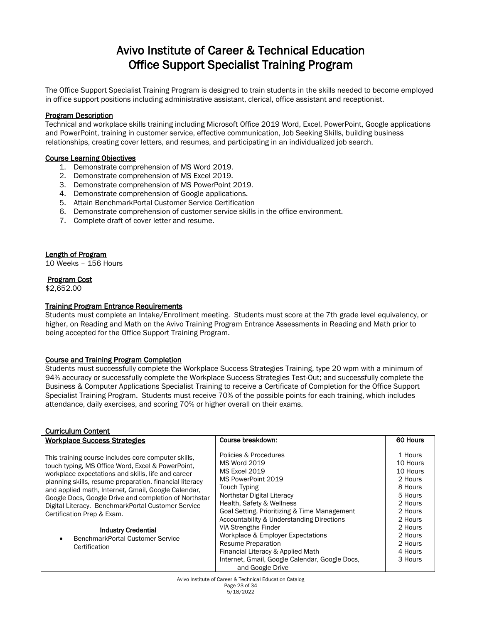### Avivo Institute of Career & Technical Education Office Support Specialist Training Program

<span id="page-22-0"></span>The Office Support Specialist Training Program is designed to train students in the skills needed to become employed in office support positions including administrative assistant, clerical, office assistant and receptionist.

#### Program Description

Technical and workplace skills training including Microsoft Office 2019 Word, Excel, PowerPoint, Google applications and PowerPoint, training in customer service, effective communication, Job Seeking Skills, building business relationships, creating cover letters, and resumes, and participating in an individualized job search.

#### Course Learning Objectives

- 1. Demonstrate comprehension of MS Word 2019.
- 2. Demonstrate comprehension of MS Excel 2019.
- 3. Demonstrate comprehension of MS PowerPoint 2019.
- 4. Demonstrate comprehension of Google applications.
- 5. Attain BenchmarkPortal Customer Service Certification
- 6. Demonstrate comprehension of customer service skills in the office environment.
- 7. Complete draft of cover letter and resume.

#### Length of Program

Curriculum Content

10 Weeks – 156 Hours

#### Program Cost

\$2,652.00

#### Training Program Entrance Requirements

Students must complete an Intake/Enrollment meeting. Students must score at the 7th grade level equivalency, or higher, on Reading and Math on the Avivo Training Program Entrance Assessments in Reading and Math prior to being accepted for the Office Support Training Program.

#### Course and Training Program Completion

Students must successfully complete the Workplace Success Strategies Training, type 20 wpm with a minimum of 94% accuracy or successfully complete the Workplace Success Strategies Test-Out; and successfully complete the Business & Computer Applications Specialist Training to receive a Certificate of Completion for the Office Support Specialist Training Program. Students must receive 70% of the possible points for each training, which includes attendance, daily exercises, and scoring 70% or higher overall on their exams.

| Curriculum Content                                                                                                                                                                                                                                                                                                                                                                                                                                                                                                                   |                                                                                                                                                                                                                                                                                                                                                                                                                                                                  |                                                                                                                                                          |
|--------------------------------------------------------------------------------------------------------------------------------------------------------------------------------------------------------------------------------------------------------------------------------------------------------------------------------------------------------------------------------------------------------------------------------------------------------------------------------------------------------------------------------------|------------------------------------------------------------------------------------------------------------------------------------------------------------------------------------------------------------------------------------------------------------------------------------------------------------------------------------------------------------------------------------------------------------------------------------------------------------------|----------------------------------------------------------------------------------------------------------------------------------------------------------|
| <b>Workplace Success Strategies</b>                                                                                                                                                                                                                                                                                                                                                                                                                                                                                                  | Course breakdown:                                                                                                                                                                                                                                                                                                                                                                                                                                                | 60 Hours                                                                                                                                                 |
| This training course includes core computer skills,<br>touch typing, MS Office Word, Excel & PowerPoint,<br>workplace expectations and skills, life and career<br>planning skills, resume preparation, financial literacy<br>and applied math, Internet, Gmail, Google Calendar,<br>Google Docs, Google Drive and completion of Northstar<br>Digital Literacy. BenchmarkPortal Customer Service<br>Certification Prep & Exam.<br><b>Industry Credential</b><br><b>BenchmarkPortal Customer Service</b><br>$\bullet$<br>Certification | Policies & Procedures<br><b>MS Word 2019</b><br>MS Excel 2019<br>MS PowerPoint 2019<br>Touch Typing<br>Northstar Digital Literacy<br>Health, Safety & Wellness<br>Goal Setting, Prioritizing & Time Management<br>Accountability & Understanding Directions<br><b>VIA Strengths Finder</b><br>Workplace & Employer Expectations<br>Resume Preparation<br>Financial Literacy & Applied Math<br>Internet, Gmail, Google Calendar, Google Docs,<br>and Google Drive | 1 Hours<br>10 Hours<br>10 Hours<br>2 Hours<br>8 Hours<br>5 Hours<br>2 Hours<br>2 Hours<br>2 Hours<br>2 Hours<br>2 Hours<br>2 Hours<br>4 Hours<br>3 Hours |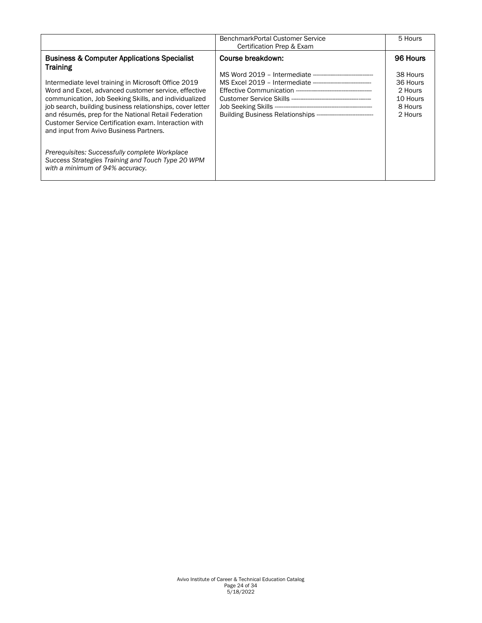|                                                                                                                                                                                                                                                                                                                                                                                                                                                                             | <b>BenchmarkPortal Customer Service</b><br>Certification Prep & Exam | 5 Hours                                                                       |
|-----------------------------------------------------------------------------------------------------------------------------------------------------------------------------------------------------------------------------------------------------------------------------------------------------------------------------------------------------------------------------------------------------------------------------------------------------------------------------|----------------------------------------------------------------------|-------------------------------------------------------------------------------|
| <b>Business &amp; Computer Applications Specialist</b><br><b>Training</b><br>Intermediate level training in Microsoft Office 2019<br>Word and Excel, advanced customer service, effective<br>communication, Job Seeking Skills, and individualized<br>job search, building business relationships, cover letter<br>and résumés, prep for the National Retail Federation<br>Customer Service Certification exam. Interaction with<br>and input from Avivo Business Partners. | Course breakdown:                                                    | 96 Hours<br>38 Hours<br>36 Hours<br>2 Hours<br>10 Hours<br>8 Hours<br>2 Hours |
| Prerequisites: Successfully complete Workplace<br>Success Strategies Training and Touch Type 20 WPM<br>with a minimum of 94% accuracy.                                                                                                                                                                                                                                                                                                                                      |                                                                      |                                                                               |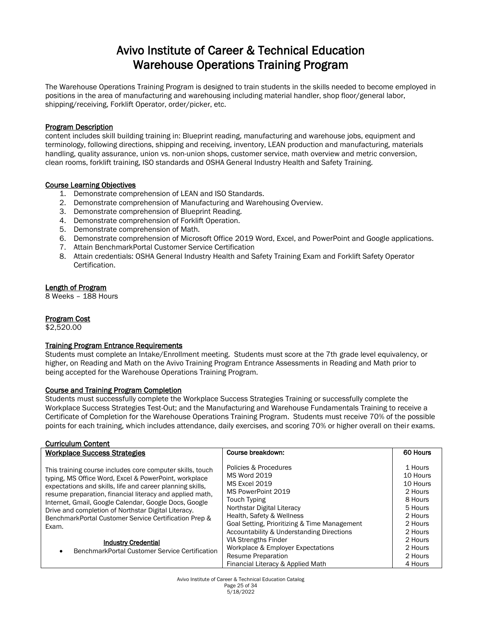### Avivo Institute of Career & Technical Education Warehouse Operations Training Program

<span id="page-24-0"></span>The Warehouse Operations Training Program is designed to train students in the skills needed to become employed in positions in the area of manufacturing and warehousing including material handler, shop floor/general labor, shipping/receiving, Forklift Operator, order/picker, etc.

#### Program Description

content includes skill building training in: Blueprint reading, manufacturing and warehouse jobs, equipment and terminology, following directions, shipping and receiving, inventory, LEAN production and manufacturing, materials handling, quality assurance, union vs. non-union shops, customer service, math overview and metric conversion, clean rooms, forklift training, ISO standards and OSHA General Industry Health and Safety Training.

#### Course Learning Objectives

- 1. Demonstrate comprehension of LEAN and ISO Standards.
- 2. Demonstrate comprehension of Manufacturing and Warehousing Overview.
- 3. Demonstrate comprehension of Blueprint Reading.
- 4. Demonstrate comprehension of Forklift Operation.
- 5. Demonstrate comprehension of Math.
- 6. Demonstrate comprehension of Microsoft Office 2019 Word, Excel, and PowerPoint and Google applications.
- 7. Attain BenchmarkPortal Customer Service Certification
- 8. Attain credentials: OSHA General Industry Health and Safety Training Exam and Forklift Safety Operator Certification.

#### Length of Program

8 Weeks – 188 Hours

#### Program Cost

\$2,520.00

#### Training Program Entrance Requirements

Students must complete an Intake/Enrollment meeting. Students must score at the 7th grade level equivalency, or higher, on Reading and Math on the Avivo Training Program Entrance Assessments in Reading and Math prior to being accepted for the Warehouse Operations Training Program.

#### Course and Training Program Completion

Students must successfully complete the Workplace Success Strategies Training or successfully complete the Workplace Success Strategies Test-Out; and the Manufacturing and Warehouse Fundamentals Training to receive a Certificate of Completion for the Warehouse Operations Training Program. Students must receive 70% of the possible points for each training, which includes attendance, daily exercises, and scoring 70% or higher overall on their exams.

| <b>Curriculum Content</b>                                                                                                                                                                                                                                                                                                                                                                                                                                                                                          |                                                                                                                                                                                                                                                                                                                                                                                                   |                                                                                                                                               |
|--------------------------------------------------------------------------------------------------------------------------------------------------------------------------------------------------------------------------------------------------------------------------------------------------------------------------------------------------------------------------------------------------------------------------------------------------------------------------------------------------------------------|---------------------------------------------------------------------------------------------------------------------------------------------------------------------------------------------------------------------------------------------------------------------------------------------------------------------------------------------------------------------------------------------------|-----------------------------------------------------------------------------------------------------------------------------------------------|
| <b>Workplace Success Strategies</b>                                                                                                                                                                                                                                                                                                                                                                                                                                                                                | Course breakdown:                                                                                                                                                                                                                                                                                                                                                                                 | 60 Hours                                                                                                                                      |
| This training course includes core computer skills, touch<br>typing, MS Office Word, Excel & PowerPoint, workplace<br>expectations and skills, life and career planning skills,<br>resume preparation, financial literacy and applied math,<br>Internet, Gmail, Google Calendar, Google Docs, Google<br>Drive and completion of Northstar Digital Literacy.<br>BenchmarkPortal Customer Service Certification Prep &<br>Exam.<br><b>Industry Credential</b><br>BenchmarkPortal Customer Service Certification<br>٠ | Policies & Procedures<br><b>MS Word 2019</b><br><b>MS Excel 2019</b><br>MS PowerPoint 2019<br>Touch Typing<br>Northstar Digital Literacy<br>Health, Safety & Wellness<br>Goal Setting, Prioritizing & Time Management<br>Accountability & Understanding Directions<br><b>VIA Strengths Finder</b><br>Workplace & Employer Expectations<br>Resume Preparation<br>Financial Literacy & Applied Math | 1 Hours<br>10 Hours<br>10 Hours<br>2 Hours<br>8 Hours<br>5 Hours<br>2 Hours<br>2 Hours<br>2 Hours<br>2 Hours<br>2 Hours<br>2 Hours<br>4 Hours |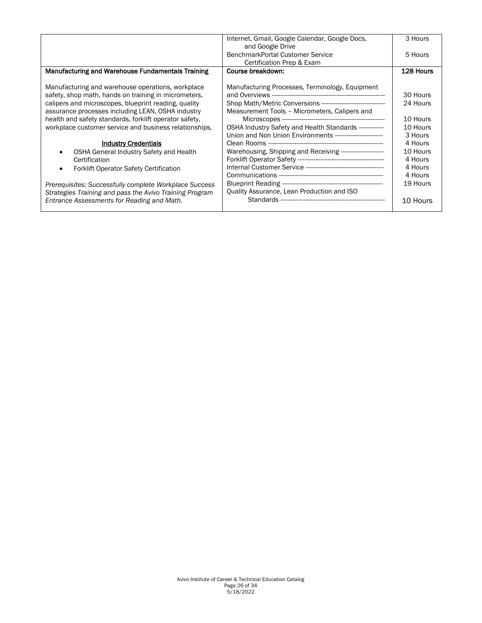|                                                                                                                                                                                                                                                                                                                                            | Internet, Gmail, Google Calendar, Google Docs,<br>and Google Drive                                                                                                                                                          | 3 Hours                                                 |
|--------------------------------------------------------------------------------------------------------------------------------------------------------------------------------------------------------------------------------------------------------------------------------------------------------------------------------------------|-----------------------------------------------------------------------------------------------------------------------------------------------------------------------------------------------------------------------------|---------------------------------------------------------|
|                                                                                                                                                                                                                                                                                                                                            | BenchmarkPortal Customer Service<br>Certification Prep & Exam                                                                                                                                                               | 5 Hours                                                 |
| Manufacturing and Warehouse Fundamentals Training                                                                                                                                                                                                                                                                                          | Course breakdown:                                                                                                                                                                                                           | 128 Hours                                               |
| Manufacturing and warehouse operations, workplace<br>safety, shop math, hands on training in micrometers,<br>calipers and microscopes, blueprint reading, quality<br>assurance processes including LEAN, OSHA industry<br>health and safety standards, forklift operator safety,<br>workplace customer service and business relationships. | Manufacturing Processes, Terminology, Equipment<br>Measurement Tools - Micrometers, Calipers and<br>OSHA Industry Safety and Health Standards --------------<br>Union and Non Union Environments -------------------------- | 30 Hours<br>24 Hours<br>10 Hours<br>10 Hours<br>3 Hours |
| <b>Industry Credentials</b><br>OSHA General Industry Safety and Health<br>Certification<br><b>Forklift Operator Safety Certification</b><br>٠                                                                                                                                                                                              | Warehousing, Shipping and Receiving -----------------------                                                                                                                                                                 | 4 Hours<br>10 Hours<br>4 Hours<br>4 Hours<br>4 Hours    |
| Prerequisites: Successfully complete Workplace Success<br>Strategies Training and pass the Avivo Training Program<br>Entrance Assessments for Reading and Math.                                                                                                                                                                            | Quality Assurance, Lean Production and ISO                                                                                                                                                                                  | 19 Hours<br>10 Hours                                    |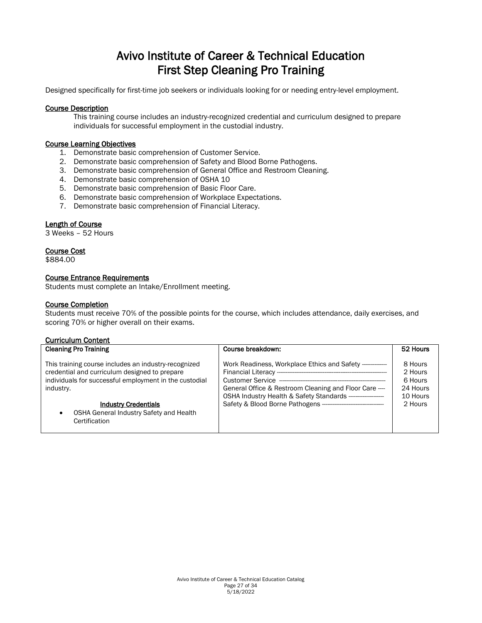### Avivo Institute of Career & Technical Education First Step Cleaning Pro Training

<span id="page-26-0"></span>Designed specifically for first-time job seekers or individuals looking for or needing entry-level employment.

#### Course Description

This training course includes an industry-recognized credential and curriculum designed to prepare individuals for successful employment in the custodial industry.

#### Course Learning Objectives

- 1. Demonstrate basic comprehension of Customer Service.
- 2. Demonstrate basic comprehension of Safety and Blood Borne Pathogens.
- 3. Demonstrate basic comprehension of General Office and Restroom Cleaning.
- 4. Demonstrate basic comprehension of OSHA 10
- 5. Demonstrate basic comprehension of Basic Floor Care.
- 6. Demonstrate basic comprehension of Workplace Expectations.
- 7. Demonstrate basic comprehension of Financial Literacy.

#### Length of Course

3 Weeks – 52 Hours

#### Course Cost

\$884.00

#### Course Entrance Requirements

Students must complete an Intake/Enrollment meeting.

#### Course Completion

Students must receive 70% of the possible points for the course, which includes attendance, daily exercises, and scoring 70% or higher overall on their exams.

| <b>Curriculum Content</b> |  |
|---------------------------|--|
|                           |  |

| <b>Cleaning Pro Training</b>                                                                                                                                                                                                                                                 | Course breakdown:                                                                                                                                                                  | 52 Hours                                                         |
|------------------------------------------------------------------------------------------------------------------------------------------------------------------------------------------------------------------------------------------------------------------------------|------------------------------------------------------------------------------------------------------------------------------------------------------------------------------------|------------------------------------------------------------------|
| This training course includes an industry-recognized<br>credential and curriculum designed to prepare<br>individuals for successful employment in the custodial<br>industry.<br><b>Industry Credentials</b><br>OSHA General Industry Safety and Health<br>٠<br>Certification | Work Readiness, Workplace Ethics and Safety -------------<br>General Office & Restroom Cleaning and Floor Care ---<br>OSHA Industry Health & Safety Standards -------------------- | 8 Hours<br>2 Hours<br>6 Hours<br>24 Hours<br>10 Hours<br>2 Hours |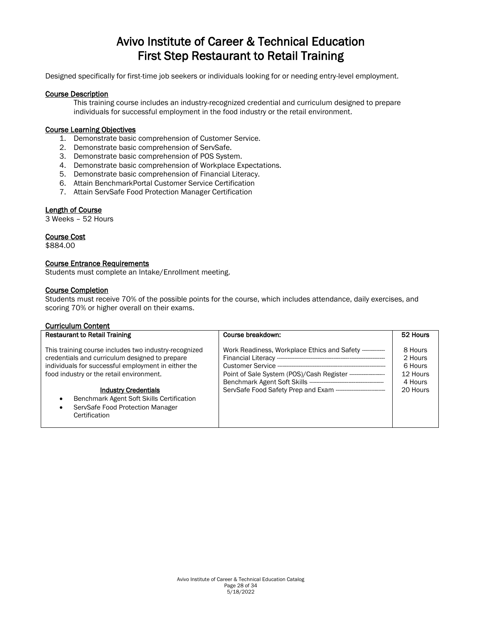### Avivo Institute of Career & Technical Education First Step Restaurant to Retail Training

<span id="page-27-0"></span>Designed specifically for first-time job seekers or individuals looking for or needing entry-level employment.

#### Course Description

This training course includes an industry-recognized credential and curriculum designed to prepare individuals for successful employment in the food industry or the retail environment.

#### Course Learning Objectives

- 1. Demonstrate basic comprehension of Customer Service.
- 2. Demonstrate basic comprehension of ServSafe.
- 3. Demonstrate basic comprehension of POS System.
- 4. Demonstrate basic comprehension of Workplace Expectations.
- 5. Demonstrate basic comprehension of Financial Literacy.
- 6. Attain BenchmarkPortal Customer Service Certification
- 7. Attain ServSafe Food Protection Manager Certification

#### Length of Course

3 Weeks – 52 Hours

#### Course Cost

\$884.00

#### Course Entrance Requirements

Students must complete an Intake/Enrollment meeting.

#### Course Completion

Students must receive 70% of the possible points for the course, which includes attendance, daily exercises, and scoring 70% or higher overall on their exams.

| <b>Curriculum Content</b>                                                                                                                                                                                                                                                                                                                                     |                                                                                                                                |                                                                  |
|---------------------------------------------------------------------------------------------------------------------------------------------------------------------------------------------------------------------------------------------------------------------------------------------------------------------------------------------------------------|--------------------------------------------------------------------------------------------------------------------------------|------------------------------------------------------------------|
| <b>Restaurant to Retail Training</b>                                                                                                                                                                                                                                                                                                                          | Course breakdown:                                                                                                              | 52 Hours                                                         |
| This training course includes two industry-recognized<br>credentials and curriculum designed to prepare<br>individuals for successful employment in either the<br>food industry or the retail environment.<br><b>Industry Credentials</b><br>Benchmark Agent Soft Skills Certification<br>٠<br>ServSafe Food Protection Manager<br>$\bullet$<br>Certification | Work Readiness, Workplace Ethics and Safety -------------<br>ServSafe Food Safety Prep and Exam ------------------------------ | 8 Hours<br>2 Hours<br>6 Hours<br>12 Hours<br>4 Hours<br>20 Hours |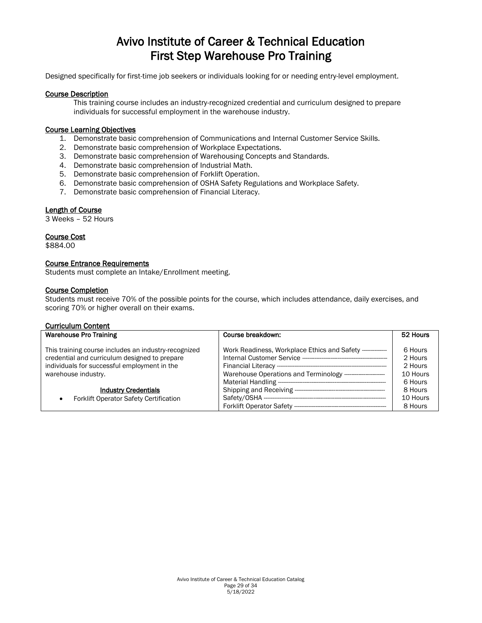### Avivo Institute of Career & Technical Education First Step Warehouse Pro Training

<span id="page-28-0"></span>Designed specifically for first-time job seekers or individuals looking for or needing entry-level employment.

#### Course Description

This training course includes an industry-recognized credential and curriculum designed to prepare individuals for successful employment in the warehouse industry.

#### Course Learning Objectives

- 1. Demonstrate basic comprehension of Communications and Internal Customer Service Skills.
- 2. Demonstrate basic comprehension of Workplace Expectations.
- 3. Demonstrate basic comprehension of Warehousing Concepts and Standards.
- 4. Demonstrate basic comprehension of Industrial Math.
- 5. Demonstrate basic comprehension of Forklift Operation.
- 6. Demonstrate basic comprehension of OSHA Safety Regulations and Workplace Safety.
- 7. Demonstrate basic comprehension of Financial Literacy.

#### Length of Course

3 Weeks – 52 Hours

#### Course Cost

\$884.00

#### Course Entrance Requirements

Students must complete an Intake/Enrollment meeting.

#### Course Completion

Students must receive 70% of the possible points for the course, which includes attendance, daily exercises, and scoring 70% or higher overall on their exams.

| <b>Curriculum Content</b>                                                                                                                                                    |                                                                                                                            |                                           |
|------------------------------------------------------------------------------------------------------------------------------------------------------------------------------|----------------------------------------------------------------------------------------------------------------------------|-------------------------------------------|
| <b>Warehouse Pro Training</b>                                                                                                                                                | Course breakdown:                                                                                                          | 52 Hours                                  |
| This training course includes an industry-recognized<br>credential and curriculum designed to prepare<br>individuals for successful employment in the<br>warehouse industry. | Work Readiness, Workplace Ethics and Safety --------------<br>Warehouse Operations and Terminology ----------------------- | 6 Hours<br>2 Hours<br>2 Hours<br>10 Hours |
| <b>Industry Credentials</b><br><b>Forklift Operator Safety Certification</b><br>$\bullet$                                                                                    |                                                                                                                            | 6 Hours<br>8 Hours<br>10 Hours<br>8 Hours |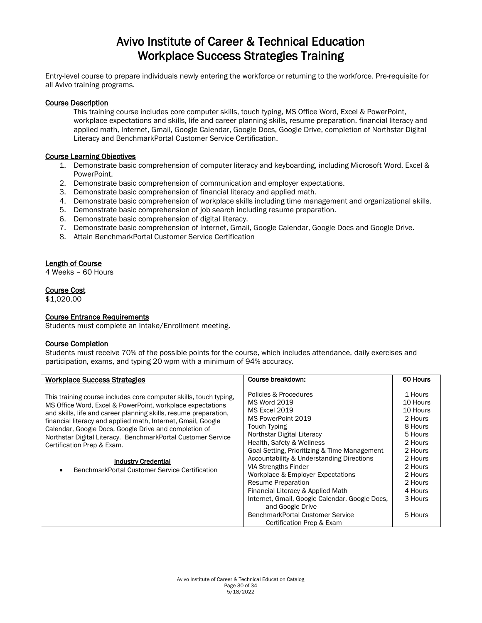### Avivo Institute of Career & Technical Education Workplace Success Strategies Training

<span id="page-29-0"></span>Entry-level course to prepare individuals newly entering the workforce or returning to the workforce. Pre-requisite for all Avivo training programs.

#### Course Description

This training course includes core computer skills, touch typing, MS Office Word, Excel & PowerPoint, workplace expectations and skills, life and career planning skills, resume preparation, financial literacy and applied math, Internet, Gmail, Google Calendar, Google Docs, Google Drive, completion of Northstar Digital Literacy and BenchmarkPortal Customer Service Certification.

#### Course Learning Objectives

- 1. Demonstrate basic comprehension of computer literacy and keyboarding, including Microsoft Word, Excel & PowerPoint.
- 2. Demonstrate basic comprehension of communication and employer expectations.
- 3. Demonstrate basic comprehension of financial literacy and applied math.
- 4. Demonstrate basic comprehension of workplace skills including time management and organizational skills.
- 5. Demonstrate basic comprehension of job search including resume preparation.
- 6. Demonstrate basic comprehension of digital literacy.
- 7. Demonstrate basic comprehension of Internet, Gmail, Google Calendar, Google Docs and Google Drive.
- 8. Attain BenchmarkPortal Customer Service Certification

#### Length of Course

4 Weeks – 60 Hours

#### Course Cost

\$1,020.00

#### Course Entrance Requirements

Students must complete an Intake/Enrollment meeting.

#### Course Completion

Students must receive 70% of the possible points for the course, which includes attendance, daily exercises and participation, exams, and typing 20 wpm with a minimum of 94% accuracy.

| <b>Workplace Success Strategies</b>                                                                                                                                                                                                                                                                                                                                                                                                                                                                        | Course breakdown:                                                                                                                                                                                                                                                                                                                                                                                                                                                                                                                 | 60 Hours                                                                                                                                                            |
|------------------------------------------------------------------------------------------------------------------------------------------------------------------------------------------------------------------------------------------------------------------------------------------------------------------------------------------------------------------------------------------------------------------------------------------------------------------------------------------------------------|-----------------------------------------------------------------------------------------------------------------------------------------------------------------------------------------------------------------------------------------------------------------------------------------------------------------------------------------------------------------------------------------------------------------------------------------------------------------------------------------------------------------------------------|---------------------------------------------------------------------------------------------------------------------------------------------------------------------|
| This training course includes core computer skills, touch typing,<br>MS Office Word, Excel & PowerPoint, workplace expectations<br>and skills, life and career planning skills, resume preparation,<br>financial literacy and applied math, Internet, Gmail, Google<br>Calendar, Google Docs, Google Drive and completion of<br>Northstar Digital Literacy. BenchmarkPortal Customer Service<br>Certification Prep & Exam.<br><b>Industry Credential</b><br>BenchmarkPortal Customer Service Certification | Policies & Procedures<br>MS Word 2019<br>MS Excel 2019<br>MS PowerPoint 2019<br>Touch Typing<br>Northstar Digital Literacy<br>Health, Safety & Wellness<br>Goal Setting, Prioritizing & Time Management<br>Accountability & Understanding Directions<br>VIA Strengths Finder<br>Workplace & Employer Expectations<br><b>Resume Preparation</b><br>Financial Literacy & Applied Math<br>Internet, Gmail, Google Calendar, Google Docs,<br>and Google Drive<br><b>BenchmarkPortal Customer Service</b><br>Certification Prep & Exam | 1 Hours<br>10 Hours<br>10 Hours<br>2 Hours<br>8 Hours<br>5 Hours<br>2 Hours<br>2 Hours<br>2 Hours<br>2 Hours<br>2 Hours<br>2 Hours<br>4 Hours<br>3 Hours<br>5 Hours |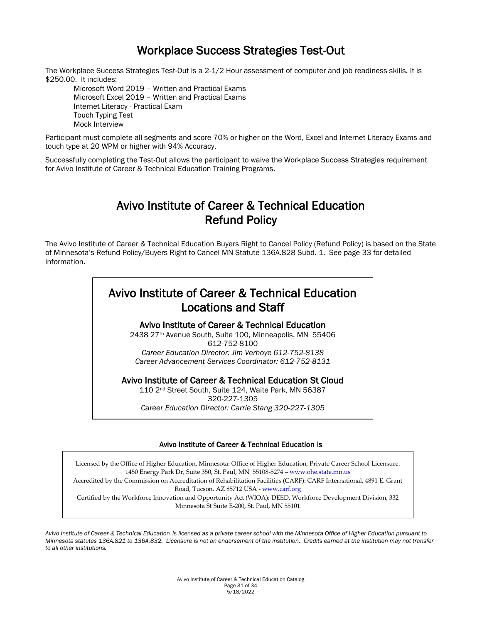### Workplace Success Strategies Test-Out

<span id="page-30-0"></span>The Workplace Success Strategies Test-Out is a 2-1/2 Hour assessment of computer and job readiness skills. It is \$250.00. It includes:

Microsoft Word 2019 – Written and Practical Exams Microsoft Excel 2019 – Written and Practical Exams Internet Literacy - Practical Exam Touch Typing Test Mock Interview

Participant must complete all segments and score 70% or higher on the Word, Excel and lnternet Literacy Exams and touch type at 20 WPM or higher with 94% Accuracy.

Successfully completing the Test-Out allows the participant to waive the Workplace Success Strategies requirement for Avivo Institute of Career & Technical Education Training Programs.

### Avivo Institute of Career & Technical Education Refund Policy

The Avivo Institute of Career & Technical Education Buyers Right to Cancel Policy (Refund Policy) is based on the State of Minnesota's Refund Policy/Buyers Right to Cancel MN Statute 136A.828 Subd. 1. See page 33 for detailed information.

### Avivo Institute of Career & Technical Education Locations and Staff

l, Avivo Institute of Career & Technical Education

2438 27<sup>th</sup> Avenue South, Suite 100, Minneapolis, MN 55406 612-752-8100 *Career Education Director: Jim Verhoye 612-752-8138 Career Advancement Services Coordinator: 612-752-8131*

Avivo Institute of Career & Technical Education St Cloud

 110 2nd Street South, Suite 124, Waite Park, MN 56387 *Career Education Director: Carrie Stang 320-227-1305*320-227-1305

#### Avivo Institute of Career & Technical Education is ׇ֚֚֡֬

 $\overline{a}$ 

 Licensed by the Office of Higher Education, Minnesota: Office of Higher Education, Private Career School Licensure, 1450 Energy Park Dr, Suite 350, St. Paul, MN 55108-5274 - [www.ohe.state.mn.us](http://www.ohe.state.mn.us/) Accredited by the Commission on Accreditation of Rehabilitation Facilities (CARF): CARF International, 4891 E. Grant Road, Tucson, AZ 85712 USA - [www.carf.org](http://www.carf.org/) Certified by the Workforce Innovation and Opportunity Act (WIOA): DEED, Workforce Development Division, 332 Minnesota St Suite E-200, St. Paul, MN 55101

*Avivo Institute of Career & Technical Education is licensed as a private career school with the Minnesota Office of Higher Education pursuant to Minnesota statutes 136A.821 to 136A.832. Licensure is not an endorsement of the institution. Credits earned at the institution may not transfer to all other institutions.*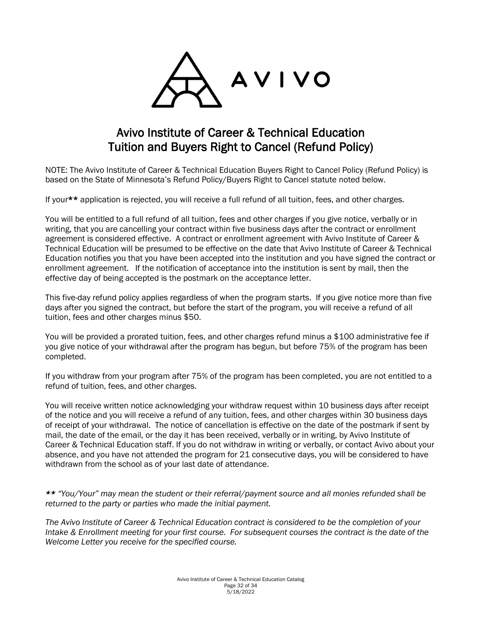

### Avivo Institute of Career & Technical Education Tuition and Buyers Right to Cancel (Refund Policy)

<span id="page-31-0"></span>NOTE: The Avivo Institute of Career & Technical Education Buyers Right to Cancel Policy (Refund Policy) is based on the State of Minnesota's Refund Policy/Buyers Right to Cancel statute noted below.

If your\*\* application is rejected, you will receive a full refund of all tuition, fees, and other charges.

You will be entitled to a full refund of all tuition, fees and other charges if you give notice, verbally or in writing, that you are cancelling your contract within five business days after the contract or enrollment agreement is considered effective. A contract or enrollment agreement with Avivo Institute of Career & Technical Education will be presumed to be effective on the date that Avivo Institute of Career & Technical Education notifies you that you have been accepted into the institution and you have signed the contract or enrollment agreement. If the notification of acceptance into the institution is sent by mail, then the effective day of being accepted is the postmark on the acceptance letter.

This five-day refund policy applies regardless of when the program starts. If you give notice more than five days after you signed the contract, but before the start of the program, you will receive a refund of all tuition, fees and other charges minus \$50.

You will be provided a prorated tuition, fees, and other charges refund minus a \$100 administrative fee if you give notice of your withdrawal after the program has begun, but before 75% of the program has been completed.

If you withdraw from your program after 75% of the program has been completed, you are not entitled to a refund of tuition, fees, and other charges.

You will receive written notice acknowledging your withdraw request within 10 business days after receipt of the notice and you will receive a refund of any tuition, fees, and other charges within 30 business days of receipt of your withdrawal. The notice of cancellation is effective on the date of the postmark if sent by mail, the date of the email, or the day it has been received, verbally or in writing, by Avivo Institute of Career & Technical Education staff. If you do not withdraw in writing or verbally, or contact Avivo about your absence, and you have not attended the program for 21 consecutive days, you will be considered to have withdrawn from the school as of your last date of attendance.

*\*\* "You/Your" may mean the student or their referral/payment source and all monies refunded shall be returned to the party or parties who made the initial payment.* 

*The Avivo Institute of Career & Technical Education contract is considered to be the completion of your Intake & Enrollment meeting for your first course. For subsequent courses the contract is the date of the Welcome Letter you receive for the specified course.*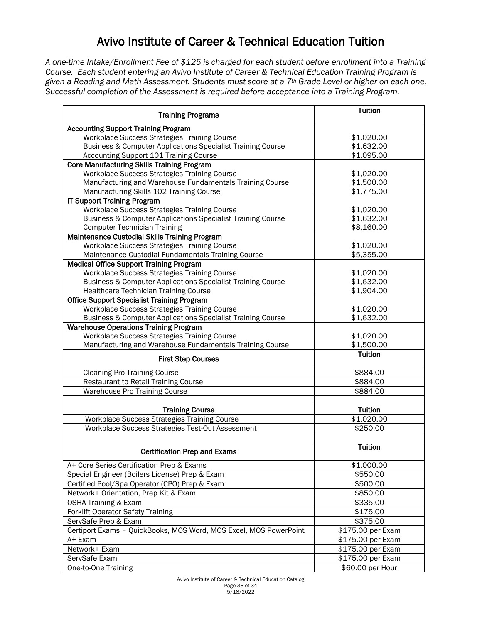### Avivo Institute of Career & Technical Education Tuition

*A one-time Intake/Enrollment Fee of \$125 is charged for each student before enrollment into a Training Course. Each student entering an Avivo Institute of Career & Technical Education Training Program is given a Reading and Math Assessment. Students must score at a 7th Grade Level or higher on each one. Successful completion of the Assessment is required before acceptance into a Training Program.* 

| <b>Training Programs</b>                                          | <b>Tuition</b>    |
|-------------------------------------------------------------------|-------------------|
| <b>Accounting Support Training Program</b>                        |                   |
| Workplace Success Strategies Training Course                      | \$1,020.00        |
| Business & Computer Applications Specialist Training Course       | \$1,632.00        |
| Accounting Support 101 Training Course                            | \$1,095.00        |
| <b>Core Manufacturing Skills Training Program</b>                 |                   |
| Workplace Success Strategies Training Course                      | \$1,020.00        |
| Manufacturing and Warehouse Fundamentals Training Course          | \$1,500.00        |
| Manufacturing Skills 102 Training Course                          | \$1,775.00        |
| <b>IT Support Training Program</b>                                |                   |
| Workplace Success Strategies Training Course                      | \$1,020.00        |
| Business & Computer Applications Specialist Training Course       | \$1,632.00        |
| <b>Computer Technician Training</b>                               | \$8,160.00        |
| Maintenance Custodial Skills Training Program                     |                   |
| Workplace Success Strategies Training Course                      | \$1,020.00        |
| Maintenance Custodial Fundamentals Training Course                | \$5,355.00        |
| <b>Medical Office Support Training Program</b>                    |                   |
| Workplace Success Strategies Training Course                      | \$1,020.00        |
| Business & Computer Applications Specialist Training Course       | \$1,632.00        |
| Healthcare Technician Training Course                             | \$1,904.00        |
| <b>Office Support Specialist Training Program</b>                 |                   |
| Workplace Success Strategies Training Course                      | \$1,020.00        |
| Business & Computer Applications Specialist Training Course       | \$1,632.00        |
| <b>Warehouse Operations Training Program</b>                      |                   |
| Workplace Success Strategies Training Course                      | \$1,020.00        |
| Manufacturing and Warehouse Fundamentals Training Course          | \$1,500.00        |
| <b>First Step Courses</b>                                         | <b>Tuition</b>    |
| <b>Cleaning Pro Training Course</b>                               | \$884.00          |
| <b>Restaurant to Retail Training Course</b>                       | \$884.00          |
| Warehouse Pro Training Course                                     | \$884.00          |
|                                                                   |                   |
| <b>Training Course</b>                                            | <b>Tuition</b>    |
| Workplace Success Strategies Training Course                      | \$1,020.00        |
| Workplace Success Strategies Test-Out Assessment                  | \$250.00          |
|                                                                   |                   |
| <b>Certification Prep and Exams</b>                               | <b>Tuition</b>    |
| A+ Core Series Certification Prep & Exams                         | \$1,000.00        |
| Special Engineer (Boilers License) Prep & Exam                    | \$550.00          |
| Certified Pool/Spa Operator (CPO) Prep & Exam                     | \$500.00          |
| Network+ Orientation, Prep Kit & Exam                             | \$850.00          |
| <b>OSHA Training &amp; Exam</b>                                   | \$335.00          |
| <b>Forklift Operator Safety Training</b>                          | \$175.00          |
| ServSafe Prep & Exam                                              | \$375.00          |
| Certiport Exams - QuickBooks, MOS Word, MOS Excel, MOS PowerPoint | \$175.00 per Exam |
| A+ Exam                                                           | \$175.00 per Exam |
| Network+ Exam                                                     | \$175.00 per Exam |
| ServSafe Exam                                                     | \$175.00 per Exam |
| One-to-One Training                                               | \$60.00 per Hour  |